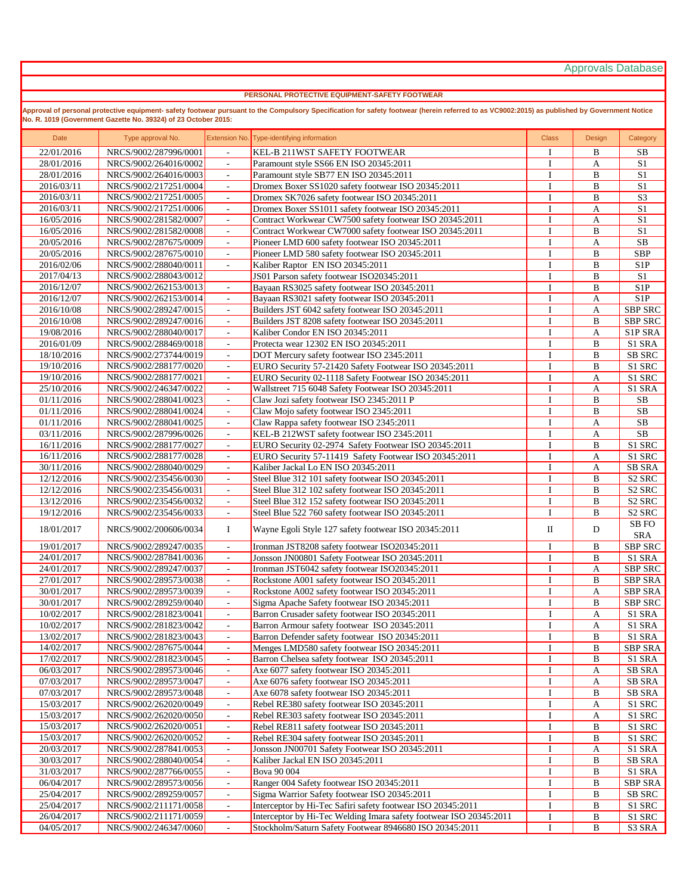Approvals Database

## **PERSONAL PROTECTIVE EQUIPMENT-SAFETY FOOTWEAR**

**Approval of personal protective equipment- safety footwear pursuant to the Compulsory Specification for safety footwear (herein referred to as VC9002:2015) as published by Government Notice No. R. 1019 (Government Gazette No. 39324) of 23 October 2015:** 

| Date       | Type approval No.     |                                                      | Extension No. Type-identifying information                         | <b>Class</b> | Design       | Category           |
|------------|-----------------------|------------------------------------------------------|--------------------------------------------------------------------|--------------|--------------|--------------------|
| 22/01/2016 | NRCS/9002/287996/0001 | $\mathcal{L}^{\mathcal{L}}$                          | <b>KEL-B 211WST SAFETY FOOTWEAR</b>                                | I            | B            | SB                 |
| 28/01/2016 | NRCS/9002/264016/0002 | $\overline{\phantom{a}}$                             | Paramount style SS66 EN ISO 20345:2011                             | I            | A            | S <sub>1</sub>     |
| 28/01/2016 | NRCS/9002/264016/0003 | $\overline{\phantom{a}}$                             | Paramount style SB77 EN ISO 20345:2011                             | I            | $\bf{B}$     | S <sub>1</sub>     |
| 2016/03/11 | NRCS/9002/217251/0004 | $\mathcal{L}_{\mathcal{A}}$                          | Dromex Boxer SS1020 safety footwear ISO 20345:2011                 | I            | $\bf{B}$     | $\overline{S1}$    |
| 2016/03/11 | NRCS/9002/217251/0005 | $\overline{\phantom{a}}$                             | Dromex SK7026 safety footwear ISO 20345:2011                       | I            | $\, {\bf B}$ | S <sub>3</sub>     |
| 2016/03/11 | NRCS/9002/217251/0006 | $\overline{\phantom{a}}$                             | Dromex Boxer SS1011 safety footwear ISO 20345:2011                 | I            | A            | S <sub>1</sub>     |
| 16/05/2016 | NRCS/9002/281582/0007 | $\equiv$                                             | Contract Workwear CW7500 safety footwear ISO 20345:2011            | I            | $\mathbf{A}$ | S1                 |
| 16/05/2016 | NRCS/9002/281582/0008 | $\overline{\phantom{a}}$                             | Contract Workwear CW7000 safety footwear ISO 20345:2011            | I            | $\, {\bf B}$ | $\overline{S1}$    |
| 20/05/2016 | NRCS/9002/287675/0009 | $\overline{\phantom{a}}$                             | Pioneer LMD 600 safety footwear ISO 20345:2011                     | I            | A            | SB                 |
| 20/05/2016 | NRCS/9002/287675/0010 | $\equiv$                                             | Pioneer LMD 580 safety footwear ISO 20345:2011                     | I            | $\bf{B}$     | <b>SBP</b>         |
| 2016/02/06 | NRCS/9002/288040/0011 | $\overline{\phantom{a}}$                             | Kaliber Raptor EN ISO 20345:2011                                   | I            | $\bf{B}$     | S1P                |
| 2017/04/13 | NRCS/9002/288043/0012 |                                                      | JS01 Parson safety footwear ISO20345:2011                          | I            | $\, {\bf B}$ | S <sub>1</sub>     |
| 2016/12/07 | NRCS/9002/262153/0013 | $\blacksquare$                                       | Bayaan RS3025 safety footwear ISO 20345:2011                       | I            | B            | S <sub>1</sub> P   |
| 2016/12/07 | NRCS/9002/262153/0014 | $\mathcal{L}_{\mathcal{A}}$                          | Bayaan RS3021 safety footwear ISO 20345:2011                       | I            | A            | S1P                |
| 2016/10/08 | NRCS/9002/289247/0015 | $\overline{\phantom{a}}$                             | Builders JST 6042 safety footwear ISO 20345:2011                   | I            | A            | <b>SBP SRC</b>     |
| 2016/10/08 | NRCS/9002/289247/0016 | $\sim$                                               | Builders JST 8208 safety footwear ISO 20345:2011                   | I            | $\, {\bf B}$ | <b>SBP SRC</b>     |
| 19/08/2016 | NRCS/9002/288040/0017 | $\omega$                                             | Kaliber Condor EN ISO 20345:2011                                   | I            | A            | S1P SRA            |
| 2016/01/09 | NRCS/9002/288469/0018 | $\sim$                                               | Protecta wear 12302 EN ISO 20345:2011                              | I            | $\bf{B}$     | S1 SRA             |
| 18/10/2016 | NRCS/9002/273744/0019 | $\sim$                                               | DOT Mercury safety footwear ISO 2345:2011                          | I            | $\bf{B}$     | SB SRC             |
| 19/10/2016 | NRCS/9002/288177/0020 | $\omega$                                             | EURO Security 57-21420 Safety Footwear ISO 20345:2011              | I            | $\, {\bf B}$ | S1 SRC             |
| 19/10/2016 | NRCS/9002/288177/0021 | $\sim$                                               | EURO Security 02-1118 Safety Footwear ISO 20345:2011               | I            | $\mathbf{A}$ | S1 SRC             |
| 25/10/2016 | NRCS/9002/246347/0022 | $\blacksquare$                                       | Wallstreet 715 6048 Safety Footwear ISO 20345:2011                 | $\mathbf I$  | A            | S1 SRA             |
| 01/11/2016 | NRCS/9002/288041/0023 | $\sim$                                               | Claw Jozi safety footwear ISO 2345:2011 P                          | I            | $\, {\bf B}$ | $\rm SB$           |
| 01/11/2016 | NRCS/9002/288041/0024 | $\sim$                                               | Claw Mojo safety footwear ISO 2345:2011                            | <b>I</b>     | $\, {\bf B}$ | <b>SB</b>          |
| 01/11/2016 | NRCS/9002/288041/0025 | $\blacksquare$                                       | Claw Rappa safety footwear ISO 2345:2011                           | I            | A            | <b>SB</b>          |
| 03/11/2016 | NRCS/9002/287996/0026 | $\sim$                                               | KEL-B 212WST safety footwear ISO 2345:2011                         | I            | A            | SB                 |
| 16/11/2016 | NRCS/9002/288177/0027 | $\sim$                                               | EURO Security 02-2974 Safety Footwear ISO 20345:2011               | <b>I</b>     | $\, {\bf B}$ | S1 SRC             |
| 16/11/2016 | NRCS/9002/288177/0028 | $\blacksquare$                                       | EURO Security 57-11419 Safety Footwear ISO 20345:2011              | I            | A            | S1 SRC             |
| 30/11/2016 | NRCS/9002/288040/0029 | $\sim$                                               | Kaliber Jackal Lo EN ISO 20345:2011                                | I            | A            | SB SRA             |
| 12/12/2016 | NRCS/9002/235456/0030 | $\sim$                                               | Steel Blue 312 101 safety footwear ISO 20345:2011                  | I            | $\, {\bf B}$ | S <sub>2</sub> SRC |
| 12/12/2016 | NRCS/9002/235456/0031 | $\bar{\phantom{a}}$                                  | Steel Blue 312 102 safety footwear ISO 20345:2011                  | I            | $\bf{B}$     | S <sub>2</sub> SRC |
| 13/12/2016 | NRCS/9002/235456/0032 | $\sim$                                               | Steel Blue 312 152 safety footwear ISO 20345:2011                  | I            | $\, {\bf B}$ | S <sub>2</sub> SRC |
| 19/12/2016 | NRCS/9002/235456/0033 | $\sim$                                               | Steel Blue 522 760 safety footwear ISO 20345:2011                  | I            | $\, {\bf B}$ | S <sub>2</sub> SRC |
|            |                       |                                                      |                                                                    |              |              | SB FO              |
| 18/01/2017 | NRCS/9002/200606/0034 | I                                                    | Wayne Egoli Style 127 safety footwear ISO 20345:2011               | $\rm II$     | D            | <b>SRA</b>         |
| 19/01/2017 | NRCS/9002/289247/0035 | $\equiv$                                             | Ironman JST8208 safety footwear ISO20345:2011                      | $\bf{I}$     | $\, {\bf B}$ | SBP SRC            |
| 24/01/2017 | NRCS/9002/287841/0036 | $\blacksquare$                                       | Jonsson JN00801 Safety Footwear ISO 20345:2011                     | I            | $\bf{B}$     | S1 SRA             |
| 24/01/2017 | NRCS/9002/289247/0037 | $\sim$                                               | Ironman JST6042 safety rootwear ISO20345:2011                      | I            | $\mathbf{A}$ | <b>SBP SRC</b>     |
| 27/01/2017 | NRCS/9002/289573/0038 | $\sim$                                               | Rockstone A001 safety footwear ISO 20345:2011                      | I            | $\, {\bf B}$ | <b>SBP SRA</b>     |
| 30/01/2017 | NRCS/9002/289573/0039 | $\overline{\phantom{a}}$                             | Rockstone A002 safety footwear ISO 20345:2011                      | I            | А            | <b>SBP SRA</b>     |
| 30/01/2017 | NRCS/9002/289259/0040 | $\sim$                                               | Sigma Apache Safety footwear ISO 20345:2011                        | I            | $\, {\bf B}$ | <b>SBP SRC</b>     |
| 10/02/2017 | NRCS/9002/281823/0041 | $\sim$                                               | Barron Crusader safety footwear ISO 20345:2011                     | I            | A            | S1 SRA             |
| 10/02/2017 | NRCS/9002/281823/0042 | $\overline{\phantom{a}}$                             | Barron Armour safety footwear ISO 20345:2011                       | I            | А            | S1 SRA             |
| 13/02/2017 | NRCS/9002/281823/0043 | $\sim$                                               | Barron Defender safety footwear ISO 20345:2011                     | 1            | $\, {\bf B}$ | S1 SRA             |
| 14/02/2017 | NRCS/9002/287675/0044 | $\sim$                                               | Menges LMD580 safety footwear ISO 20345:2011                       | 1            | B            | SBP SRA            |
| 17/02/2017 | NRCS/9002/281823/0045 | $\overline{\phantom{a}}$                             | Barron Chelsea safety footwear ISO 20345:2011                      | I            | B            | S1 SRA             |
| 06/03/2017 | NRCS/9002/289573/0046 | $\blacksquare$                                       | Axe 6077 safety footwear ISO 20345:2011                            | I            | A            | SB SRA             |
| 07/03/2017 | NRCS/9002/289573/0047 | $\omega$                                             | Axe 6076 safety footwear ISO 20345:2011                            | <b>I</b>     | A            | SB SRA             |
| 07/03/2017 | NRCS/9002/289573/0048 | $\overline{\phantom{a}}$                             | Axe 6078 safety footwear ISO 20345:2011                            | I            | B            | <b>SB SRA</b>      |
| 15/03/2017 | NRCS/9002/262020/0049 | $\blacksquare$                                       | Rebel RE380 safety footwear ISO 20345:2011                         | I            | A            | S1 SRC             |
| 15/03/2017 | NRCS/9002/262020/0050 | $\sim$                                               | Rebel RE303 safety footwear ISO 20345:2011                         | <b>I</b>     | A            | S1 SRC             |
| 15/03/2017 | NRCS/9002/262020/0051 |                                                      | Rebel RE811 safety footwear ISO 20345:2011                         | I            | B            | S1 SRC             |
| 15/03/2017 | NRCS/9002/262020/0052 | $\overline{\phantom{a}}$<br>$\overline{\phantom{a}}$ | Rebel RE304 safety footwear ISO 20345:2011                         | I            | B            | S1 SRC             |
| 20/03/2017 | NRCS/9002/287841/0053 | $\sim$                                               | Jonsson JN00701 Safety Footwear ISO 20345:2011                     | I            | A            | S1 SRA             |
| 30/03/2017 | NRCS/9002/288040/0054 | $\overline{\phantom{a}}$                             | Kaliber Jackal EN ISO 20345:2011                                   | Ι            | B            | <b>SB SRA</b>      |
| 31/03/2017 | NRCS/9002/287766/0055 | $\overline{\phantom{a}}$                             | Bova 90 004                                                        | I            | B            | S1 SRA             |
| 06/04/2017 | NRCS/9002/289573/0056 | $\sim$                                               | Ranger 004 Safety footwear ISO 20345:2011                          | I            | B            | <b>SBP SRA</b>     |
| 25/04/2017 | NRCS/9002/289259/0057 |                                                      | Sigma Warrior Safety footwear ISO 20345:2011                       |              |              | <b>SB SRC</b>      |
| 25/04/2017 | NRCS/9002/211171/0058 | $\overline{\phantom{a}}$                             | Interceptor by Hi-Tec Safiri safety footwear ISO 20345:2011        | I<br>I       | B            | S1 SRC             |
| 26/04/2017 | NRCS/9002/211171/0059 | $\overline{\phantom{a}}$                             |                                                                    |              | B            |                    |
|            |                       | $\sim$                                               | Interceptor by Hi-Tec Welding Imara safety footwear ISO 20345:2011 | 1            | B            | S1 SRC             |
| 04/05/2017 | NRCS/9002/246347/0060 | $\overline{\phantom{a}}$                             | Stockholm/Saturn Safety Footwear 8946680 ISO 20345:2011            | I            | B            | S3 SRA             |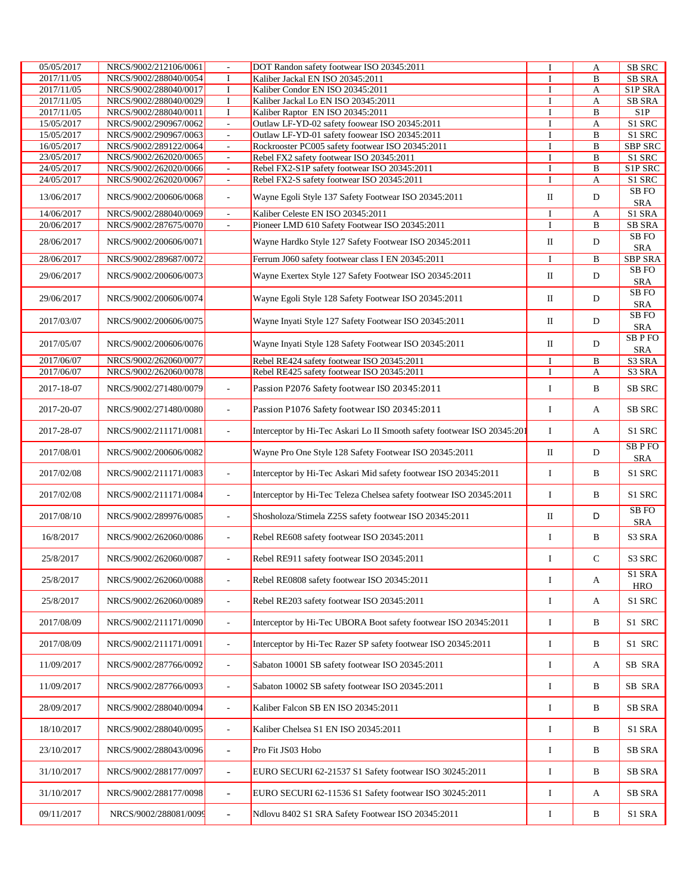| $\bf{B}$<br>2017/11/05<br>NRCS/9002/288040/0054<br>I<br>Kaliber Jackal EN ISO 20345:2011<br><b>SB SRA</b><br>I<br>2017/11/05<br>NRCS/9002/288040/0017<br>$\bf{I}$<br>Kaliber Condor EN ISO 20345:2011<br>S1P SRA<br>I<br>A<br>NRCS/9002/288040/0029<br><b>SB SRA</b><br>2017/11/05<br>I<br>Kaliber Jackal Lo EN ISO 20345:2011<br>A<br>I<br>2017/11/05<br>NRCS/9002/288040/0011<br>I<br>$\, {\bf B}$<br>Kaliber Raptor EN ISO 20345:2011<br>I<br>S <sub>1</sub> P<br>S1 SRC<br>15/05/2017<br>NRCS/9002/290967/0062<br>Outlaw LF-YD-02 safety foowear ISO 20345:2011<br>$\omega$<br>I<br>A<br>15/05/2017<br>NRCS/9002/290967/0063<br>Outlaw LF-YD-01 safety foowear ISO 20345:2011<br>$\, {\bf B}$<br>S1 SRC<br>$\overline{\phantom{a}}$<br>I<br>16/05/2017<br>Rockrooster PC005 safety footwear ISO 20345:2011<br>I<br>$\, {\bf B}$<br><b>SBP SRC</b><br>NRCS/9002/289122/0064<br>$\overline{\phantom{a}}$<br>Rebel FX2 safety footwear ISO 20345:2011<br>23/05/2017<br>NRCS/9002/262020/0065<br>B<br>S1 SRC<br>$\omega$<br>I<br>24/05/2017<br>NRCS/9002/262020/0066<br>Rebel FX2-S1P safety footwear ISO 20345:2011<br>$\, {\bf B}$<br>S1P SRC<br>I<br>$\blacksquare$<br>24/05/2017<br>NRCS/9002/262020/0067<br>Rebel FX2-S safety footwear ISO 20345:2011<br>I<br>A<br>S1 SRC<br>$\overline{\phantom{a}}$<br>SB <sub>FO</sub><br>13/06/2017<br>$\;$ II<br>${\rm D}$<br>NRCS/9002/200606/0068<br>Wayne Egoli Style 137 Safety Footwear ISO 20345:2011<br>$\Box$<br><b>SRA</b><br>Kaliber Celeste EN ISO 20345:2011<br>I<br>S1 SRA<br>14/06/2017<br>NRCS/9002/288040/0069<br>$\mathbf{A}$<br>$\overline{\phantom{a}}$<br>20/06/2017<br>NRCS/9002/287675/0070<br>Pioneer LMD 610 Safety Footwear ISO 20345:2011<br>I<br>B<br><b>SB SRA</b><br>$\omega$<br>SB <sub>FO</sub><br>Wayne Hardko Style 127 Safety Footwear ISO 20345:2011<br>П<br>D<br>28/06/2017<br>NRCS/9002/200606/0071<br><b>SRA</b><br>28/06/2017<br><b>SBP SRA</b><br>NRCS/9002/289687/0072<br>Ferrum J060 safety footwear class I EN 20345:2011<br>I<br>B<br><b>SB FO</b><br>29/06/2017<br>Wayne Exertex Style 127 Safety Footwear ISO 20345:2011<br>П<br>D<br>NRCS/9002/200606/0073<br><b>SRA</b><br>SB <sub>FO</sub><br>$\rm II$<br>29/06/2017<br>Wayne Egoli Style 128 Safety Footwear ISO 20345:2011<br>D<br>NRCS/9002/200606/0074<br><b>SRA</b><br>SB <sub>FO</sub><br>$\rm II$<br>D<br>2017/03/07<br>Wayne Inyati Style 127 Safety Footwear ISO 20345:2011<br>NRCS/9002/200606/0075<br><b>SRA</b><br><b>SBPFO</b><br>2017/05/07<br>Wayne Inyati Style 128 Safety Footwear ISO 20345:2011<br>П<br>D<br>NRCS/9002/200606/0076<br><b>SRA</b><br>S3 SRA<br>2017/06/07<br>NRCS/9002/262060/0077<br>Rebel RE424 safety footwear ISO 20345:2011<br>I<br>B<br>2017/06/07<br>NRCS/9002/262060/0078<br>Rebel RE425 safety footwear ISO 20345:2011<br>S3 SRA<br>A<br>I<br>2017-18-07<br>Passion P2076 Safety footwear ISO 20345:2011<br>I<br>B<br><b>SB SRC</b><br>NRCS/9002/271480/0079<br>$\overline{\phantom{a}}$<br>Passion P1076 Safety footwear ISO 20345:2011<br>I<br><b>SB SRC</b><br>2017-20-07<br>NRCS/9002/271480/0080<br>A<br>$\overline{\phantom{a}}$<br>$\bf{I}$<br>NRCS/9002/211171/0081<br>Interceptor by Hi-Tec Askari Lo II Smooth safety footwear ISO 20345:201<br>S1 SRC<br>2017-28-07<br>A<br>$\sim$<br><b>SBPFO</b><br>Wayne Pro One Style 128 Safety Footwear ISO 20345:2011<br>$\rm II$<br>D<br>2017/08/01<br>NRCS/9002/200606/0082<br><b>SRA</b><br>Interceptor by Hi-Tec Askari Mid safety footwear ISO 20345:2011<br>S1 SRC<br>2017/02/08<br>I<br>B<br>NRCS/9002/211171/0083<br>$\overline{a}$<br>I<br>S1 SRC<br>2017/02/08<br>NRCS/9002/211171/0084<br>Interceptor by Hi-Tec Teleza Chelsea safety footwear ISO 20345:2011<br>B<br>$\overline{\phantom{a}}$<br>SB <sub>FO</sub><br>D<br>$\rm II$<br>2017/08/10<br>NRCS/9002/289976/0085<br>Shosholoza/Stimela Z25S safety footwear ISO 20345:2011<br>$\overline{\phantom{a}}$<br><b>SRA</b><br>B<br>S3 SRA<br>16/8/2017<br>NRCS/9002/262060/0086<br>Rebel RE608 safety footwear ISO 20345:2011<br>I<br>$\sim$<br>$\mathbf C$<br>I<br>S <sub>3</sub> SRC<br>25/8/2017<br>NRCS/9002/262060/0087<br>Rebel RE911 safety footwear ISO 20345:2011<br>$\overline{\phantom{a}}$<br>S1 SRA<br>I<br>25/8/2017<br>Rebel RE0808 safety footwear ISO 20345:2011<br>NRCS/9002/262060/0088<br>A<br>ä,<br><b>HRO</b><br>Rebel RE203 safety footwear ISO 20345:2011<br>S1 SRC<br>25/8/2017<br>NRCS/9002/262060/0089<br>I<br>A<br>$\sim$<br>S1 SRC<br>2017/08/09<br>Interceptor by Hi-Tec UBORA Boot safety footwear ISO 20345:2011<br>I<br>B<br>NRCS/9002/211171/0090<br>$\sim$<br>S1 SRC<br>2017/08/09<br>NRCS/9002/211171/0091<br>Interceptor by Hi-Tec Razer SP safety footwear ISO 20345:2011<br>I<br>B<br>$\Box$<br>11/09/2017<br>NRCS/9002/287766/0092<br>Sabaton 10001 SB safety footwear ISO 20345:2011<br>SB SRA<br>I<br>A<br>$\overline{\phantom{a}}$<br>SB SRA<br>11/09/2017<br>NRCS/9002/287766/0093<br>Sabaton 10002 SB safety footwear ISO 20345:2011<br>I<br>B<br>$\overline{\phantom{a}}$<br>28/09/2017<br>NRCS/9002/288040/0094<br>Kaliber Falcon SB EN ISO 20345:2011<br>I<br>B<br><b>SB SRA</b><br>$\overline{\phantom{a}}$<br>$\bf{I}$<br>18/10/2017<br>NRCS/9002/288040/0095<br>B<br>S1 SRA<br>Kaliber Chelsea S1 EN ISO 20345:2011<br>$\sim$<br>23/10/2017<br>Pro Fit JS03 Hobo<br>I<br>B<br><b>SB SRA</b><br>NRCS/9002/288043/0096<br>$\overline{\phantom{a}}$<br>EURO SECURI 62-21537 S1 Safety footwear ISO 30245:2011<br>31/10/2017<br>I<br>B<br><b>SB SRA</b><br>NRCS/9002/288177/0097<br>$\overline{\phantom{a}}$<br>I<br>SB SRA<br>31/10/2017<br>NRCS/9002/288177/0098<br>EURO SECURI 62-11536 S1 Safety footwear ISO 30245:2011<br>A<br>$\blacksquare$<br>09/11/2017<br>NRCS/9002/288081/0099<br>Ndlovu 8402 S1 SRA Safety Footwear ISO 20345:2011<br>B<br>S1 SRA<br>I<br>$\overline{\phantom{a}}$ | 05/05/2017 | NRCS/9002/212106/0061 | DOT Randon safety footwear ISO 20345:2011 | I | А | <b>SB SRC</b> |
|--------------------------------------------------------------------------------------------------------------------------------------------------------------------------------------------------------------------------------------------------------------------------------------------------------------------------------------------------------------------------------------------------------------------------------------------------------------------------------------------------------------------------------------------------------------------------------------------------------------------------------------------------------------------------------------------------------------------------------------------------------------------------------------------------------------------------------------------------------------------------------------------------------------------------------------------------------------------------------------------------------------------------------------------------------------------------------------------------------------------------------------------------------------------------------------------------------------------------------------------------------------------------------------------------------------------------------------------------------------------------------------------------------------------------------------------------------------------------------------------------------------------------------------------------------------------------------------------------------------------------------------------------------------------------------------------------------------------------------------------------------------------------------------------------------------------------------------------------------------------------------------------------------------------------------------------------------------------------------------------------------------------------------------------------------------------------------------------------------------------------------------------------------------------------------------------------------------------------------------------------------------------------------------------------------------------------------------------------------------------------------------------------------------------------------------------------------------------------------------------------------------------------------------------------------------------------------------------------------------------------------------------------------------------------------------------------------------------------------------------------------------------------------------------------------------------------------------------------------------------------------------------------------------------------------------------------------------------------------------------------------------------------------------------------------------------------------------------------------------------------------------------------------------------------------------------------------------------------------------------------------------------------------------------------------------------------------------------------------------------------------------------------------------------------------------------------------------------------------------------------------------------------------------------------------------------------------------------------------------------------------------------------------------------------------------------------------------------------------------------------------------------------------------------------------------------------------------------------------------------------------------------------------------------------------------------------------------------------------------------------------------------------------------------------------------------------------------------------------------------------------------------------------------------------------------------------------------------------------------------------------------------------------------------------------------------------------------------------------------------------------------------------------------------------------------------------------------------------------------------------------------------------------------------------------------------------------------------------------------------------------------------------------------------------------------------------------------------------------------------------------------------------------------------------------------------------------------------------------------------------------------------------------------------------------------------------------------------------------------------------------------------------------------------------------------------------------------------------------------------------------------------------------------------------------------------------------------------------------------------------------------------------------------------------------------------------------------------------------------------------------------------------------------------------------------------------------------------------------------------------------------------------------------------------------------------------------------------------------------------------------------------------------------------------------------------------------------------------------------------------------------------------------------------------------------------------------------------------------|------------|-----------------------|-------------------------------------------|---|---|---------------|
|                                                                                                                                                                                                                                                                                                                                                                                                                                                                                                                                                                                                                                                                                                                                                                                                                                                                                                                                                                                                                                                                                                                                                                                                                                                                                                                                                                                                                                                                                                                                                                                                                                                                                                                                                                                                                                                                                                                                                                                                                                                                                                                                                                                                                                                                                                                                                                                                                                                                                                                                                                                                                                                                                                                                                                                                                                                                                                                                                                                                                                                                                                                                                                                                                                                                                                                                                                                                                                                                                                                                                                                                                                                                                                                                                                                                                                                                                                                                                                                                                                                                                                                                                                                                                                                                                                                                                                                                                                                                                                                                                                                                                                                                                                                                                                                                                                                                                                                                                                                                                                                                                                                                                                                                                                                                                                                                                                                                                                                                                                                                                                                                                                                                                                                                                                                                                                                        |            |                       |                                           |   |   |               |
|                                                                                                                                                                                                                                                                                                                                                                                                                                                                                                                                                                                                                                                                                                                                                                                                                                                                                                                                                                                                                                                                                                                                                                                                                                                                                                                                                                                                                                                                                                                                                                                                                                                                                                                                                                                                                                                                                                                                                                                                                                                                                                                                                                                                                                                                                                                                                                                                                                                                                                                                                                                                                                                                                                                                                                                                                                                                                                                                                                                                                                                                                                                                                                                                                                                                                                                                                                                                                                                                                                                                                                                                                                                                                                                                                                                                                                                                                                                                                                                                                                                                                                                                                                                                                                                                                                                                                                                                                                                                                                                                                                                                                                                                                                                                                                                                                                                                                                                                                                                                                                                                                                                                                                                                                                                                                                                                                                                                                                                                                                                                                                                                                                                                                                                                                                                                                                                        |            |                       |                                           |   |   |               |
|                                                                                                                                                                                                                                                                                                                                                                                                                                                                                                                                                                                                                                                                                                                                                                                                                                                                                                                                                                                                                                                                                                                                                                                                                                                                                                                                                                                                                                                                                                                                                                                                                                                                                                                                                                                                                                                                                                                                                                                                                                                                                                                                                                                                                                                                                                                                                                                                                                                                                                                                                                                                                                                                                                                                                                                                                                                                                                                                                                                                                                                                                                                                                                                                                                                                                                                                                                                                                                                                                                                                                                                                                                                                                                                                                                                                                                                                                                                                                                                                                                                                                                                                                                                                                                                                                                                                                                                                                                                                                                                                                                                                                                                                                                                                                                                                                                                                                                                                                                                                                                                                                                                                                                                                                                                                                                                                                                                                                                                                                                                                                                                                                                                                                                                                                                                                                                                        |            |                       |                                           |   |   |               |
|                                                                                                                                                                                                                                                                                                                                                                                                                                                                                                                                                                                                                                                                                                                                                                                                                                                                                                                                                                                                                                                                                                                                                                                                                                                                                                                                                                                                                                                                                                                                                                                                                                                                                                                                                                                                                                                                                                                                                                                                                                                                                                                                                                                                                                                                                                                                                                                                                                                                                                                                                                                                                                                                                                                                                                                                                                                                                                                                                                                                                                                                                                                                                                                                                                                                                                                                                                                                                                                                                                                                                                                                                                                                                                                                                                                                                                                                                                                                                                                                                                                                                                                                                                                                                                                                                                                                                                                                                                                                                                                                                                                                                                                                                                                                                                                                                                                                                                                                                                                                                                                                                                                                                                                                                                                                                                                                                                                                                                                                                                                                                                                                                                                                                                                                                                                                                                                        |            |                       |                                           |   |   |               |
|                                                                                                                                                                                                                                                                                                                                                                                                                                                                                                                                                                                                                                                                                                                                                                                                                                                                                                                                                                                                                                                                                                                                                                                                                                                                                                                                                                                                                                                                                                                                                                                                                                                                                                                                                                                                                                                                                                                                                                                                                                                                                                                                                                                                                                                                                                                                                                                                                                                                                                                                                                                                                                                                                                                                                                                                                                                                                                                                                                                                                                                                                                                                                                                                                                                                                                                                                                                                                                                                                                                                                                                                                                                                                                                                                                                                                                                                                                                                                                                                                                                                                                                                                                                                                                                                                                                                                                                                                                                                                                                                                                                                                                                                                                                                                                                                                                                                                                                                                                                                                                                                                                                                                                                                                                                                                                                                                                                                                                                                                                                                                                                                                                                                                                                                                                                                                                                        |            |                       |                                           |   |   |               |
|                                                                                                                                                                                                                                                                                                                                                                                                                                                                                                                                                                                                                                                                                                                                                                                                                                                                                                                                                                                                                                                                                                                                                                                                                                                                                                                                                                                                                                                                                                                                                                                                                                                                                                                                                                                                                                                                                                                                                                                                                                                                                                                                                                                                                                                                                                                                                                                                                                                                                                                                                                                                                                                                                                                                                                                                                                                                                                                                                                                                                                                                                                                                                                                                                                                                                                                                                                                                                                                                                                                                                                                                                                                                                                                                                                                                                                                                                                                                                                                                                                                                                                                                                                                                                                                                                                                                                                                                                                                                                                                                                                                                                                                                                                                                                                                                                                                                                                                                                                                                                                                                                                                                                                                                                                                                                                                                                                                                                                                                                                                                                                                                                                                                                                                                                                                                                                                        |            |                       |                                           |   |   |               |
|                                                                                                                                                                                                                                                                                                                                                                                                                                                                                                                                                                                                                                                                                                                                                                                                                                                                                                                                                                                                                                                                                                                                                                                                                                                                                                                                                                                                                                                                                                                                                                                                                                                                                                                                                                                                                                                                                                                                                                                                                                                                                                                                                                                                                                                                                                                                                                                                                                                                                                                                                                                                                                                                                                                                                                                                                                                                                                                                                                                                                                                                                                                                                                                                                                                                                                                                                                                                                                                                                                                                                                                                                                                                                                                                                                                                                                                                                                                                                                                                                                                                                                                                                                                                                                                                                                                                                                                                                                                                                                                                                                                                                                                                                                                                                                                                                                                                                                                                                                                                                                                                                                                                                                                                                                                                                                                                                                                                                                                                                                                                                                                                                                                                                                                                                                                                                                                        |            |                       |                                           |   |   |               |
|                                                                                                                                                                                                                                                                                                                                                                                                                                                                                                                                                                                                                                                                                                                                                                                                                                                                                                                                                                                                                                                                                                                                                                                                                                                                                                                                                                                                                                                                                                                                                                                                                                                                                                                                                                                                                                                                                                                                                                                                                                                                                                                                                                                                                                                                                                                                                                                                                                                                                                                                                                                                                                                                                                                                                                                                                                                                                                                                                                                                                                                                                                                                                                                                                                                                                                                                                                                                                                                                                                                                                                                                                                                                                                                                                                                                                                                                                                                                                                                                                                                                                                                                                                                                                                                                                                                                                                                                                                                                                                                                                                                                                                                                                                                                                                                                                                                                                                                                                                                                                                                                                                                                                                                                                                                                                                                                                                                                                                                                                                                                                                                                                                                                                                                                                                                                                                                        |            |                       |                                           |   |   |               |
|                                                                                                                                                                                                                                                                                                                                                                                                                                                                                                                                                                                                                                                                                                                                                                                                                                                                                                                                                                                                                                                                                                                                                                                                                                                                                                                                                                                                                                                                                                                                                                                                                                                                                                                                                                                                                                                                                                                                                                                                                                                                                                                                                                                                                                                                                                                                                                                                                                                                                                                                                                                                                                                                                                                                                                                                                                                                                                                                                                                                                                                                                                                                                                                                                                                                                                                                                                                                                                                                                                                                                                                                                                                                                                                                                                                                                                                                                                                                                                                                                                                                                                                                                                                                                                                                                                                                                                                                                                                                                                                                                                                                                                                                                                                                                                                                                                                                                                                                                                                                                                                                                                                                                                                                                                                                                                                                                                                                                                                                                                                                                                                                                                                                                                                                                                                                                                                        |            |                       |                                           |   |   |               |
|                                                                                                                                                                                                                                                                                                                                                                                                                                                                                                                                                                                                                                                                                                                                                                                                                                                                                                                                                                                                                                                                                                                                                                                                                                                                                                                                                                                                                                                                                                                                                                                                                                                                                                                                                                                                                                                                                                                                                                                                                                                                                                                                                                                                                                                                                                                                                                                                                                                                                                                                                                                                                                                                                                                                                                                                                                                                                                                                                                                                                                                                                                                                                                                                                                                                                                                                                                                                                                                                                                                                                                                                                                                                                                                                                                                                                                                                                                                                                                                                                                                                                                                                                                                                                                                                                                                                                                                                                                                                                                                                                                                                                                                                                                                                                                                                                                                                                                                                                                                                                                                                                                                                                                                                                                                                                                                                                                                                                                                                                                                                                                                                                                                                                                                                                                                                                                                        |            |                       |                                           |   |   |               |
|                                                                                                                                                                                                                                                                                                                                                                                                                                                                                                                                                                                                                                                                                                                                                                                                                                                                                                                                                                                                                                                                                                                                                                                                                                                                                                                                                                                                                                                                                                                                                                                                                                                                                                                                                                                                                                                                                                                                                                                                                                                                                                                                                                                                                                                                                                                                                                                                                                                                                                                                                                                                                                                                                                                                                                                                                                                                                                                                                                                                                                                                                                                                                                                                                                                                                                                                                                                                                                                                                                                                                                                                                                                                                                                                                                                                                                                                                                                                                                                                                                                                                                                                                                                                                                                                                                                                                                                                                                                                                                                                                                                                                                                                                                                                                                                                                                                                                                                                                                                                                                                                                                                                                                                                                                                                                                                                                                                                                                                                                                                                                                                                                                                                                                                                                                                                                                                        |            |                       |                                           |   |   |               |
|                                                                                                                                                                                                                                                                                                                                                                                                                                                                                                                                                                                                                                                                                                                                                                                                                                                                                                                                                                                                                                                                                                                                                                                                                                                                                                                                                                                                                                                                                                                                                                                                                                                                                                                                                                                                                                                                                                                                                                                                                                                                                                                                                                                                                                                                                                                                                                                                                                                                                                                                                                                                                                                                                                                                                                                                                                                                                                                                                                                                                                                                                                                                                                                                                                                                                                                                                                                                                                                                                                                                                                                                                                                                                                                                                                                                                                                                                                                                                                                                                                                                                                                                                                                                                                                                                                                                                                                                                                                                                                                                                                                                                                                                                                                                                                                                                                                                                                                                                                                                                                                                                                                                                                                                                                                                                                                                                                                                                                                                                                                                                                                                                                                                                                                                                                                                                                                        |            |                       |                                           |   |   |               |
|                                                                                                                                                                                                                                                                                                                                                                                                                                                                                                                                                                                                                                                                                                                                                                                                                                                                                                                                                                                                                                                                                                                                                                                                                                                                                                                                                                                                                                                                                                                                                                                                                                                                                                                                                                                                                                                                                                                                                                                                                                                                                                                                                                                                                                                                                                                                                                                                                                                                                                                                                                                                                                                                                                                                                                                                                                                                                                                                                                                                                                                                                                                                                                                                                                                                                                                                                                                                                                                                                                                                                                                                                                                                                                                                                                                                                                                                                                                                                                                                                                                                                                                                                                                                                                                                                                                                                                                                                                                                                                                                                                                                                                                                                                                                                                                                                                                                                                                                                                                                                                                                                                                                                                                                                                                                                                                                                                                                                                                                                                                                                                                                                                                                                                                                                                                                                                                        |            |                       |                                           |   |   |               |
|                                                                                                                                                                                                                                                                                                                                                                                                                                                                                                                                                                                                                                                                                                                                                                                                                                                                                                                                                                                                                                                                                                                                                                                                                                                                                                                                                                                                                                                                                                                                                                                                                                                                                                                                                                                                                                                                                                                                                                                                                                                                                                                                                                                                                                                                                                                                                                                                                                                                                                                                                                                                                                                                                                                                                                                                                                                                                                                                                                                                                                                                                                                                                                                                                                                                                                                                                                                                                                                                                                                                                                                                                                                                                                                                                                                                                                                                                                                                                                                                                                                                                                                                                                                                                                                                                                                                                                                                                                                                                                                                                                                                                                                                                                                                                                                                                                                                                                                                                                                                                                                                                                                                                                                                                                                                                                                                                                                                                                                                                                                                                                                                                                                                                                                                                                                                                                                        |            |                       |                                           |   |   |               |
|                                                                                                                                                                                                                                                                                                                                                                                                                                                                                                                                                                                                                                                                                                                                                                                                                                                                                                                                                                                                                                                                                                                                                                                                                                                                                                                                                                                                                                                                                                                                                                                                                                                                                                                                                                                                                                                                                                                                                                                                                                                                                                                                                                                                                                                                                                                                                                                                                                                                                                                                                                                                                                                                                                                                                                                                                                                                                                                                                                                                                                                                                                                                                                                                                                                                                                                                                                                                                                                                                                                                                                                                                                                                                                                                                                                                                                                                                                                                                                                                                                                                                                                                                                                                                                                                                                                                                                                                                                                                                                                                                                                                                                                                                                                                                                                                                                                                                                                                                                                                                                                                                                                                                                                                                                                                                                                                                                                                                                                                                                                                                                                                                                                                                                                                                                                                                                                        |            |                       |                                           |   |   |               |
|                                                                                                                                                                                                                                                                                                                                                                                                                                                                                                                                                                                                                                                                                                                                                                                                                                                                                                                                                                                                                                                                                                                                                                                                                                                                                                                                                                                                                                                                                                                                                                                                                                                                                                                                                                                                                                                                                                                                                                                                                                                                                                                                                                                                                                                                                                                                                                                                                                                                                                                                                                                                                                                                                                                                                                                                                                                                                                                                                                                                                                                                                                                                                                                                                                                                                                                                                                                                                                                                                                                                                                                                                                                                                                                                                                                                                                                                                                                                                                                                                                                                                                                                                                                                                                                                                                                                                                                                                                                                                                                                                                                                                                                                                                                                                                                                                                                                                                                                                                                                                                                                                                                                                                                                                                                                                                                                                                                                                                                                                                                                                                                                                                                                                                                                                                                                                                                        |            |                       |                                           |   |   |               |
|                                                                                                                                                                                                                                                                                                                                                                                                                                                                                                                                                                                                                                                                                                                                                                                                                                                                                                                                                                                                                                                                                                                                                                                                                                                                                                                                                                                                                                                                                                                                                                                                                                                                                                                                                                                                                                                                                                                                                                                                                                                                                                                                                                                                                                                                                                                                                                                                                                                                                                                                                                                                                                                                                                                                                                                                                                                                                                                                                                                                                                                                                                                                                                                                                                                                                                                                                                                                                                                                                                                                                                                                                                                                                                                                                                                                                                                                                                                                                                                                                                                                                                                                                                                                                                                                                                                                                                                                                                                                                                                                                                                                                                                                                                                                                                                                                                                                                                                                                                                                                                                                                                                                                                                                                                                                                                                                                                                                                                                                                                                                                                                                                                                                                                                                                                                                                                                        |            |                       |                                           |   |   |               |
|                                                                                                                                                                                                                                                                                                                                                                                                                                                                                                                                                                                                                                                                                                                                                                                                                                                                                                                                                                                                                                                                                                                                                                                                                                                                                                                                                                                                                                                                                                                                                                                                                                                                                                                                                                                                                                                                                                                                                                                                                                                                                                                                                                                                                                                                                                                                                                                                                                                                                                                                                                                                                                                                                                                                                                                                                                                                                                                                                                                                                                                                                                                                                                                                                                                                                                                                                                                                                                                                                                                                                                                                                                                                                                                                                                                                                                                                                                                                                                                                                                                                                                                                                                                                                                                                                                                                                                                                                                                                                                                                                                                                                                                                                                                                                                                                                                                                                                                                                                                                                                                                                                                                                                                                                                                                                                                                                                                                                                                                                                                                                                                                                                                                                                                                                                                                                                                        |            |                       |                                           |   |   |               |
|                                                                                                                                                                                                                                                                                                                                                                                                                                                                                                                                                                                                                                                                                                                                                                                                                                                                                                                                                                                                                                                                                                                                                                                                                                                                                                                                                                                                                                                                                                                                                                                                                                                                                                                                                                                                                                                                                                                                                                                                                                                                                                                                                                                                                                                                                                                                                                                                                                                                                                                                                                                                                                                                                                                                                                                                                                                                                                                                                                                                                                                                                                                                                                                                                                                                                                                                                                                                                                                                                                                                                                                                                                                                                                                                                                                                                                                                                                                                                                                                                                                                                                                                                                                                                                                                                                                                                                                                                                                                                                                                                                                                                                                                                                                                                                                                                                                                                                                                                                                                                                                                                                                                                                                                                                                                                                                                                                                                                                                                                                                                                                                                                                                                                                                                                                                                                                                        |            |                       |                                           |   |   |               |
|                                                                                                                                                                                                                                                                                                                                                                                                                                                                                                                                                                                                                                                                                                                                                                                                                                                                                                                                                                                                                                                                                                                                                                                                                                                                                                                                                                                                                                                                                                                                                                                                                                                                                                                                                                                                                                                                                                                                                                                                                                                                                                                                                                                                                                                                                                                                                                                                                                                                                                                                                                                                                                                                                                                                                                                                                                                                                                                                                                                                                                                                                                                                                                                                                                                                                                                                                                                                                                                                                                                                                                                                                                                                                                                                                                                                                                                                                                                                                                                                                                                                                                                                                                                                                                                                                                                                                                                                                                                                                                                                                                                                                                                                                                                                                                                                                                                                                                                                                                                                                                                                                                                                                                                                                                                                                                                                                                                                                                                                                                                                                                                                                                                                                                                                                                                                                                                        |            |                       |                                           |   |   |               |
|                                                                                                                                                                                                                                                                                                                                                                                                                                                                                                                                                                                                                                                                                                                                                                                                                                                                                                                                                                                                                                                                                                                                                                                                                                                                                                                                                                                                                                                                                                                                                                                                                                                                                                                                                                                                                                                                                                                                                                                                                                                                                                                                                                                                                                                                                                                                                                                                                                                                                                                                                                                                                                                                                                                                                                                                                                                                                                                                                                                                                                                                                                                                                                                                                                                                                                                                                                                                                                                                                                                                                                                                                                                                                                                                                                                                                                                                                                                                                                                                                                                                                                                                                                                                                                                                                                                                                                                                                                                                                                                                                                                                                                                                                                                                                                                                                                                                                                                                                                                                                                                                                                                                                                                                                                                                                                                                                                                                                                                                                                                                                                                                                                                                                                                                                                                                                                                        |            |                       |                                           |   |   |               |
|                                                                                                                                                                                                                                                                                                                                                                                                                                                                                                                                                                                                                                                                                                                                                                                                                                                                                                                                                                                                                                                                                                                                                                                                                                                                                                                                                                                                                                                                                                                                                                                                                                                                                                                                                                                                                                                                                                                                                                                                                                                                                                                                                                                                                                                                                                                                                                                                                                                                                                                                                                                                                                                                                                                                                                                                                                                                                                                                                                                                                                                                                                                                                                                                                                                                                                                                                                                                                                                                                                                                                                                                                                                                                                                                                                                                                                                                                                                                                                                                                                                                                                                                                                                                                                                                                                                                                                                                                                                                                                                                                                                                                                                                                                                                                                                                                                                                                                                                                                                                                                                                                                                                                                                                                                                                                                                                                                                                                                                                                                                                                                                                                                                                                                                                                                                                                                                        |            |                       |                                           |   |   |               |
|                                                                                                                                                                                                                                                                                                                                                                                                                                                                                                                                                                                                                                                                                                                                                                                                                                                                                                                                                                                                                                                                                                                                                                                                                                                                                                                                                                                                                                                                                                                                                                                                                                                                                                                                                                                                                                                                                                                                                                                                                                                                                                                                                                                                                                                                                                                                                                                                                                                                                                                                                                                                                                                                                                                                                                                                                                                                                                                                                                                                                                                                                                                                                                                                                                                                                                                                                                                                                                                                                                                                                                                                                                                                                                                                                                                                                                                                                                                                                                                                                                                                                                                                                                                                                                                                                                                                                                                                                                                                                                                                                                                                                                                                                                                                                                                                                                                                                                                                                                                                                                                                                                                                                                                                                                                                                                                                                                                                                                                                                                                                                                                                                                                                                                                                                                                                                                                        |            |                       |                                           |   |   |               |
|                                                                                                                                                                                                                                                                                                                                                                                                                                                                                                                                                                                                                                                                                                                                                                                                                                                                                                                                                                                                                                                                                                                                                                                                                                                                                                                                                                                                                                                                                                                                                                                                                                                                                                                                                                                                                                                                                                                                                                                                                                                                                                                                                                                                                                                                                                                                                                                                                                                                                                                                                                                                                                                                                                                                                                                                                                                                                                                                                                                                                                                                                                                                                                                                                                                                                                                                                                                                                                                                                                                                                                                                                                                                                                                                                                                                                                                                                                                                                                                                                                                                                                                                                                                                                                                                                                                                                                                                                                                                                                                                                                                                                                                                                                                                                                                                                                                                                                                                                                                                                                                                                                                                                                                                                                                                                                                                                                                                                                                                                                                                                                                                                                                                                                                                                                                                                                                        |            |                       |                                           |   |   |               |
|                                                                                                                                                                                                                                                                                                                                                                                                                                                                                                                                                                                                                                                                                                                                                                                                                                                                                                                                                                                                                                                                                                                                                                                                                                                                                                                                                                                                                                                                                                                                                                                                                                                                                                                                                                                                                                                                                                                                                                                                                                                                                                                                                                                                                                                                                                                                                                                                                                                                                                                                                                                                                                                                                                                                                                                                                                                                                                                                                                                                                                                                                                                                                                                                                                                                                                                                                                                                                                                                                                                                                                                                                                                                                                                                                                                                                                                                                                                                                                                                                                                                                                                                                                                                                                                                                                                                                                                                                                                                                                                                                                                                                                                                                                                                                                                                                                                                                                                                                                                                                                                                                                                                                                                                                                                                                                                                                                                                                                                                                                                                                                                                                                                                                                                                                                                                                                                        |            |                       |                                           |   |   |               |
|                                                                                                                                                                                                                                                                                                                                                                                                                                                                                                                                                                                                                                                                                                                                                                                                                                                                                                                                                                                                                                                                                                                                                                                                                                                                                                                                                                                                                                                                                                                                                                                                                                                                                                                                                                                                                                                                                                                                                                                                                                                                                                                                                                                                                                                                                                                                                                                                                                                                                                                                                                                                                                                                                                                                                                                                                                                                                                                                                                                                                                                                                                                                                                                                                                                                                                                                                                                                                                                                                                                                                                                                                                                                                                                                                                                                                                                                                                                                                                                                                                                                                                                                                                                                                                                                                                                                                                                                                                                                                                                                                                                                                                                                                                                                                                                                                                                                                                                                                                                                                                                                                                                                                                                                                                                                                                                                                                                                                                                                                                                                                                                                                                                                                                                                                                                                                                                        |            |                       |                                           |   |   |               |
|                                                                                                                                                                                                                                                                                                                                                                                                                                                                                                                                                                                                                                                                                                                                                                                                                                                                                                                                                                                                                                                                                                                                                                                                                                                                                                                                                                                                                                                                                                                                                                                                                                                                                                                                                                                                                                                                                                                                                                                                                                                                                                                                                                                                                                                                                                                                                                                                                                                                                                                                                                                                                                                                                                                                                                                                                                                                                                                                                                                                                                                                                                                                                                                                                                                                                                                                                                                                                                                                                                                                                                                                                                                                                                                                                                                                                                                                                                                                                                                                                                                                                                                                                                                                                                                                                                                                                                                                                                                                                                                                                                                                                                                                                                                                                                                                                                                                                                                                                                                                                                                                                                                                                                                                                                                                                                                                                                                                                                                                                                                                                                                                                                                                                                                                                                                                                                                        |            |                       |                                           |   |   |               |
|                                                                                                                                                                                                                                                                                                                                                                                                                                                                                                                                                                                                                                                                                                                                                                                                                                                                                                                                                                                                                                                                                                                                                                                                                                                                                                                                                                                                                                                                                                                                                                                                                                                                                                                                                                                                                                                                                                                                                                                                                                                                                                                                                                                                                                                                                                                                                                                                                                                                                                                                                                                                                                                                                                                                                                                                                                                                                                                                                                                                                                                                                                                                                                                                                                                                                                                                                                                                                                                                                                                                                                                                                                                                                                                                                                                                                                                                                                                                                                                                                                                                                                                                                                                                                                                                                                                                                                                                                                                                                                                                                                                                                                                                                                                                                                                                                                                                                                                                                                                                                                                                                                                                                                                                                                                                                                                                                                                                                                                                                                                                                                                                                                                                                                                                                                                                                                                        |            |                       |                                           |   |   |               |
|                                                                                                                                                                                                                                                                                                                                                                                                                                                                                                                                                                                                                                                                                                                                                                                                                                                                                                                                                                                                                                                                                                                                                                                                                                                                                                                                                                                                                                                                                                                                                                                                                                                                                                                                                                                                                                                                                                                                                                                                                                                                                                                                                                                                                                                                                                                                                                                                                                                                                                                                                                                                                                                                                                                                                                                                                                                                                                                                                                                                                                                                                                                                                                                                                                                                                                                                                                                                                                                                                                                                                                                                                                                                                                                                                                                                                                                                                                                                                                                                                                                                                                                                                                                                                                                                                                                                                                                                                                                                                                                                                                                                                                                                                                                                                                                                                                                                                                                                                                                                                                                                                                                                                                                                                                                                                                                                                                                                                                                                                                                                                                                                                                                                                                                                                                                                                                                        |            |                       |                                           |   |   |               |
|                                                                                                                                                                                                                                                                                                                                                                                                                                                                                                                                                                                                                                                                                                                                                                                                                                                                                                                                                                                                                                                                                                                                                                                                                                                                                                                                                                                                                                                                                                                                                                                                                                                                                                                                                                                                                                                                                                                                                                                                                                                                                                                                                                                                                                                                                                                                                                                                                                                                                                                                                                                                                                                                                                                                                                                                                                                                                                                                                                                                                                                                                                                                                                                                                                                                                                                                                                                                                                                                                                                                                                                                                                                                                                                                                                                                                                                                                                                                                                                                                                                                                                                                                                                                                                                                                                                                                                                                                                                                                                                                                                                                                                                                                                                                                                                                                                                                                                                                                                                                                                                                                                                                                                                                                                                                                                                                                                                                                                                                                                                                                                                                                                                                                                                                                                                                                                                        |            |                       |                                           |   |   |               |
|                                                                                                                                                                                                                                                                                                                                                                                                                                                                                                                                                                                                                                                                                                                                                                                                                                                                                                                                                                                                                                                                                                                                                                                                                                                                                                                                                                                                                                                                                                                                                                                                                                                                                                                                                                                                                                                                                                                                                                                                                                                                                                                                                                                                                                                                                                                                                                                                                                                                                                                                                                                                                                                                                                                                                                                                                                                                                                                                                                                                                                                                                                                                                                                                                                                                                                                                                                                                                                                                                                                                                                                                                                                                                                                                                                                                                                                                                                                                                                                                                                                                                                                                                                                                                                                                                                                                                                                                                                                                                                                                                                                                                                                                                                                                                                                                                                                                                                                                                                                                                                                                                                                                                                                                                                                                                                                                                                                                                                                                                                                                                                                                                                                                                                                                                                                                                                                        |            |                       |                                           |   |   |               |
|                                                                                                                                                                                                                                                                                                                                                                                                                                                                                                                                                                                                                                                                                                                                                                                                                                                                                                                                                                                                                                                                                                                                                                                                                                                                                                                                                                                                                                                                                                                                                                                                                                                                                                                                                                                                                                                                                                                                                                                                                                                                                                                                                                                                                                                                                                                                                                                                                                                                                                                                                                                                                                                                                                                                                                                                                                                                                                                                                                                                                                                                                                                                                                                                                                                                                                                                                                                                                                                                                                                                                                                                                                                                                                                                                                                                                                                                                                                                                                                                                                                                                                                                                                                                                                                                                                                                                                                                                                                                                                                                                                                                                                                                                                                                                                                                                                                                                                                                                                                                                                                                                                                                                                                                                                                                                                                                                                                                                                                                                                                                                                                                                                                                                                                                                                                                                                                        |            |                       |                                           |   |   |               |
|                                                                                                                                                                                                                                                                                                                                                                                                                                                                                                                                                                                                                                                                                                                                                                                                                                                                                                                                                                                                                                                                                                                                                                                                                                                                                                                                                                                                                                                                                                                                                                                                                                                                                                                                                                                                                                                                                                                                                                                                                                                                                                                                                                                                                                                                                                                                                                                                                                                                                                                                                                                                                                                                                                                                                                                                                                                                                                                                                                                                                                                                                                                                                                                                                                                                                                                                                                                                                                                                                                                                                                                                                                                                                                                                                                                                                                                                                                                                                                                                                                                                                                                                                                                                                                                                                                                                                                                                                                                                                                                                                                                                                                                                                                                                                                                                                                                                                                                                                                                                                                                                                                                                                                                                                                                                                                                                                                                                                                                                                                                                                                                                                                                                                                                                                                                                                                                        |            |                       |                                           |   |   |               |
|                                                                                                                                                                                                                                                                                                                                                                                                                                                                                                                                                                                                                                                                                                                                                                                                                                                                                                                                                                                                                                                                                                                                                                                                                                                                                                                                                                                                                                                                                                                                                                                                                                                                                                                                                                                                                                                                                                                                                                                                                                                                                                                                                                                                                                                                                                                                                                                                                                                                                                                                                                                                                                                                                                                                                                                                                                                                                                                                                                                                                                                                                                                                                                                                                                                                                                                                                                                                                                                                                                                                                                                                                                                                                                                                                                                                                                                                                                                                                                                                                                                                                                                                                                                                                                                                                                                                                                                                                                                                                                                                                                                                                                                                                                                                                                                                                                                                                                                                                                                                                                                                                                                                                                                                                                                                                                                                                                                                                                                                                                                                                                                                                                                                                                                                                                                                                                                        |            |                       |                                           |   |   |               |
|                                                                                                                                                                                                                                                                                                                                                                                                                                                                                                                                                                                                                                                                                                                                                                                                                                                                                                                                                                                                                                                                                                                                                                                                                                                                                                                                                                                                                                                                                                                                                                                                                                                                                                                                                                                                                                                                                                                                                                                                                                                                                                                                                                                                                                                                                                                                                                                                                                                                                                                                                                                                                                                                                                                                                                                                                                                                                                                                                                                                                                                                                                                                                                                                                                                                                                                                                                                                                                                                                                                                                                                                                                                                                                                                                                                                                                                                                                                                                                                                                                                                                                                                                                                                                                                                                                                                                                                                                                                                                                                                                                                                                                                                                                                                                                                                                                                                                                                                                                                                                                                                                                                                                                                                                                                                                                                                                                                                                                                                                                                                                                                                                                                                                                                                                                                                                                                        |            |                       |                                           |   |   |               |
|                                                                                                                                                                                                                                                                                                                                                                                                                                                                                                                                                                                                                                                                                                                                                                                                                                                                                                                                                                                                                                                                                                                                                                                                                                                                                                                                                                                                                                                                                                                                                                                                                                                                                                                                                                                                                                                                                                                                                                                                                                                                                                                                                                                                                                                                                                                                                                                                                                                                                                                                                                                                                                                                                                                                                                                                                                                                                                                                                                                                                                                                                                                                                                                                                                                                                                                                                                                                                                                                                                                                                                                                                                                                                                                                                                                                                                                                                                                                                                                                                                                                                                                                                                                                                                                                                                                                                                                                                                                                                                                                                                                                                                                                                                                                                                                                                                                                                                                                                                                                                                                                                                                                                                                                                                                                                                                                                                                                                                                                                                                                                                                                                                                                                                                                                                                                                                                        |            |                       |                                           |   |   |               |
|                                                                                                                                                                                                                                                                                                                                                                                                                                                                                                                                                                                                                                                                                                                                                                                                                                                                                                                                                                                                                                                                                                                                                                                                                                                                                                                                                                                                                                                                                                                                                                                                                                                                                                                                                                                                                                                                                                                                                                                                                                                                                                                                                                                                                                                                                                                                                                                                                                                                                                                                                                                                                                                                                                                                                                                                                                                                                                                                                                                                                                                                                                                                                                                                                                                                                                                                                                                                                                                                                                                                                                                                                                                                                                                                                                                                                                                                                                                                                                                                                                                                                                                                                                                                                                                                                                                                                                                                                                                                                                                                                                                                                                                                                                                                                                                                                                                                                                                                                                                                                                                                                                                                                                                                                                                                                                                                                                                                                                                                                                                                                                                                                                                                                                                                                                                                                                                        |            |                       |                                           |   |   |               |
|                                                                                                                                                                                                                                                                                                                                                                                                                                                                                                                                                                                                                                                                                                                                                                                                                                                                                                                                                                                                                                                                                                                                                                                                                                                                                                                                                                                                                                                                                                                                                                                                                                                                                                                                                                                                                                                                                                                                                                                                                                                                                                                                                                                                                                                                                                                                                                                                                                                                                                                                                                                                                                                                                                                                                                                                                                                                                                                                                                                                                                                                                                                                                                                                                                                                                                                                                                                                                                                                                                                                                                                                                                                                                                                                                                                                                                                                                                                                                                                                                                                                                                                                                                                                                                                                                                                                                                                                                                                                                                                                                                                                                                                                                                                                                                                                                                                                                                                                                                                                                                                                                                                                                                                                                                                                                                                                                                                                                                                                                                                                                                                                                                                                                                                                                                                                                                                        |            |                       |                                           |   |   |               |
|                                                                                                                                                                                                                                                                                                                                                                                                                                                                                                                                                                                                                                                                                                                                                                                                                                                                                                                                                                                                                                                                                                                                                                                                                                                                                                                                                                                                                                                                                                                                                                                                                                                                                                                                                                                                                                                                                                                                                                                                                                                                                                                                                                                                                                                                                                                                                                                                                                                                                                                                                                                                                                                                                                                                                                                                                                                                                                                                                                                                                                                                                                                                                                                                                                                                                                                                                                                                                                                                                                                                                                                                                                                                                                                                                                                                                                                                                                                                                                                                                                                                                                                                                                                                                                                                                                                                                                                                                                                                                                                                                                                                                                                                                                                                                                                                                                                                                                                                                                                                                                                                                                                                                                                                                                                                                                                                                                                                                                                                                                                                                                                                                                                                                                                                                                                                                                                        |            |                       |                                           |   |   |               |
|                                                                                                                                                                                                                                                                                                                                                                                                                                                                                                                                                                                                                                                                                                                                                                                                                                                                                                                                                                                                                                                                                                                                                                                                                                                                                                                                                                                                                                                                                                                                                                                                                                                                                                                                                                                                                                                                                                                                                                                                                                                                                                                                                                                                                                                                                                                                                                                                                                                                                                                                                                                                                                                                                                                                                                                                                                                                                                                                                                                                                                                                                                                                                                                                                                                                                                                                                                                                                                                                                                                                                                                                                                                                                                                                                                                                                                                                                                                                                                                                                                                                                                                                                                                                                                                                                                                                                                                                                                                                                                                                                                                                                                                                                                                                                                                                                                                                                                                                                                                                                                                                                                                                                                                                                                                                                                                                                                                                                                                                                                                                                                                                                                                                                                                                                                                                                                                        |            |                       |                                           |   |   |               |
|                                                                                                                                                                                                                                                                                                                                                                                                                                                                                                                                                                                                                                                                                                                                                                                                                                                                                                                                                                                                                                                                                                                                                                                                                                                                                                                                                                                                                                                                                                                                                                                                                                                                                                                                                                                                                                                                                                                                                                                                                                                                                                                                                                                                                                                                                                                                                                                                                                                                                                                                                                                                                                                                                                                                                                                                                                                                                                                                                                                                                                                                                                                                                                                                                                                                                                                                                                                                                                                                                                                                                                                                                                                                                                                                                                                                                                                                                                                                                                                                                                                                                                                                                                                                                                                                                                                                                                                                                                                                                                                                                                                                                                                                                                                                                                                                                                                                                                                                                                                                                                                                                                                                                                                                                                                                                                                                                                                                                                                                                                                                                                                                                                                                                                                                                                                                                                                        |            |                       |                                           |   |   |               |
|                                                                                                                                                                                                                                                                                                                                                                                                                                                                                                                                                                                                                                                                                                                                                                                                                                                                                                                                                                                                                                                                                                                                                                                                                                                                                                                                                                                                                                                                                                                                                                                                                                                                                                                                                                                                                                                                                                                                                                                                                                                                                                                                                                                                                                                                                                                                                                                                                                                                                                                                                                                                                                                                                                                                                                                                                                                                                                                                                                                                                                                                                                                                                                                                                                                                                                                                                                                                                                                                                                                                                                                                                                                                                                                                                                                                                                                                                                                                                                                                                                                                                                                                                                                                                                                                                                                                                                                                                                                                                                                                                                                                                                                                                                                                                                                                                                                                                                                                                                                                                                                                                                                                                                                                                                                                                                                                                                                                                                                                                                                                                                                                                                                                                                                                                                                                                                                        |            |                       |                                           |   |   |               |
|                                                                                                                                                                                                                                                                                                                                                                                                                                                                                                                                                                                                                                                                                                                                                                                                                                                                                                                                                                                                                                                                                                                                                                                                                                                                                                                                                                                                                                                                                                                                                                                                                                                                                                                                                                                                                                                                                                                                                                                                                                                                                                                                                                                                                                                                                                                                                                                                                                                                                                                                                                                                                                                                                                                                                                                                                                                                                                                                                                                                                                                                                                                                                                                                                                                                                                                                                                                                                                                                                                                                                                                                                                                                                                                                                                                                                                                                                                                                                                                                                                                                                                                                                                                                                                                                                                                                                                                                                                                                                                                                                                                                                                                                                                                                                                                                                                                                                                                                                                                                                                                                                                                                                                                                                                                                                                                                                                                                                                                                                                                                                                                                                                                                                                                                                                                                                                                        |            |                       |                                           |   |   |               |
|                                                                                                                                                                                                                                                                                                                                                                                                                                                                                                                                                                                                                                                                                                                                                                                                                                                                                                                                                                                                                                                                                                                                                                                                                                                                                                                                                                                                                                                                                                                                                                                                                                                                                                                                                                                                                                                                                                                                                                                                                                                                                                                                                                                                                                                                                                                                                                                                                                                                                                                                                                                                                                                                                                                                                                                                                                                                                                                                                                                                                                                                                                                                                                                                                                                                                                                                                                                                                                                                                                                                                                                                                                                                                                                                                                                                                                                                                                                                                                                                                                                                                                                                                                                                                                                                                                                                                                                                                                                                                                                                                                                                                                                                                                                                                                                                                                                                                                                                                                                                                                                                                                                                                                                                                                                                                                                                                                                                                                                                                                                                                                                                                                                                                                                                                                                                                                                        |            |                       |                                           |   |   |               |
|                                                                                                                                                                                                                                                                                                                                                                                                                                                                                                                                                                                                                                                                                                                                                                                                                                                                                                                                                                                                                                                                                                                                                                                                                                                                                                                                                                                                                                                                                                                                                                                                                                                                                                                                                                                                                                                                                                                                                                                                                                                                                                                                                                                                                                                                                                                                                                                                                                                                                                                                                                                                                                                                                                                                                                                                                                                                                                                                                                                                                                                                                                                                                                                                                                                                                                                                                                                                                                                                                                                                                                                                                                                                                                                                                                                                                                                                                                                                                                                                                                                                                                                                                                                                                                                                                                                                                                                                                                                                                                                                                                                                                                                                                                                                                                                                                                                                                                                                                                                                                                                                                                                                                                                                                                                                                                                                                                                                                                                                                                                                                                                                                                                                                                                                                                                                                                                        |            |                       |                                           |   |   |               |
|                                                                                                                                                                                                                                                                                                                                                                                                                                                                                                                                                                                                                                                                                                                                                                                                                                                                                                                                                                                                                                                                                                                                                                                                                                                                                                                                                                                                                                                                                                                                                                                                                                                                                                                                                                                                                                                                                                                                                                                                                                                                                                                                                                                                                                                                                                                                                                                                                                                                                                                                                                                                                                                                                                                                                                                                                                                                                                                                                                                                                                                                                                                                                                                                                                                                                                                                                                                                                                                                                                                                                                                                                                                                                                                                                                                                                                                                                                                                                                                                                                                                                                                                                                                                                                                                                                                                                                                                                                                                                                                                                                                                                                                                                                                                                                                                                                                                                                                                                                                                                                                                                                                                                                                                                                                                                                                                                                                                                                                                                                                                                                                                                                                                                                                                                                                                                                                        |            |                       |                                           |   |   |               |
|                                                                                                                                                                                                                                                                                                                                                                                                                                                                                                                                                                                                                                                                                                                                                                                                                                                                                                                                                                                                                                                                                                                                                                                                                                                                                                                                                                                                                                                                                                                                                                                                                                                                                                                                                                                                                                                                                                                                                                                                                                                                                                                                                                                                                                                                                                                                                                                                                                                                                                                                                                                                                                                                                                                                                                                                                                                                                                                                                                                                                                                                                                                                                                                                                                                                                                                                                                                                                                                                                                                                                                                                                                                                                                                                                                                                                                                                                                                                                                                                                                                                                                                                                                                                                                                                                                                                                                                                                                                                                                                                                                                                                                                                                                                                                                                                                                                                                                                                                                                                                                                                                                                                                                                                                                                                                                                                                                                                                                                                                                                                                                                                                                                                                                                                                                                                                                                        |            |                       |                                           |   |   |               |
|                                                                                                                                                                                                                                                                                                                                                                                                                                                                                                                                                                                                                                                                                                                                                                                                                                                                                                                                                                                                                                                                                                                                                                                                                                                                                                                                                                                                                                                                                                                                                                                                                                                                                                                                                                                                                                                                                                                                                                                                                                                                                                                                                                                                                                                                                                                                                                                                                                                                                                                                                                                                                                                                                                                                                                                                                                                                                                                                                                                                                                                                                                                                                                                                                                                                                                                                                                                                                                                                                                                                                                                                                                                                                                                                                                                                                                                                                                                                                                                                                                                                                                                                                                                                                                                                                                                                                                                                                                                                                                                                                                                                                                                                                                                                                                                                                                                                                                                                                                                                                                                                                                                                                                                                                                                                                                                                                                                                                                                                                                                                                                                                                                                                                                                                                                                                                                                        |            |                       |                                           |   |   |               |
|                                                                                                                                                                                                                                                                                                                                                                                                                                                                                                                                                                                                                                                                                                                                                                                                                                                                                                                                                                                                                                                                                                                                                                                                                                                                                                                                                                                                                                                                                                                                                                                                                                                                                                                                                                                                                                                                                                                                                                                                                                                                                                                                                                                                                                                                                                                                                                                                                                                                                                                                                                                                                                                                                                                                                                                                                                                                                                                                                                                                                                                                                                                                                                                                                                                                                                                                                                                                                                                                                                                                                                                                                                                                                                                                                                                                                                                                                                                                                                                                                                                                                                                                                                                                                                                                                                                                                                                                                                                                                                                                                                                                                                                                                                                                                                                                                                                                                                                                                                                                                                                                                                                                                                                                                                                                                                                                                                                                                                                                                                                                                                                                                                                                                                                                                                                                                                                        |            |                       |                                           |   |   |               |
|                                                                                                                                                                                                                                                                                                                                                                                                                                                                                                                                                                                                                                                                                                                                                                                                                                                                                                                                                                                                                                                                                                                                                                                                                                                                                                                                                                                                                                                                                                                                                                                                                                                                                                                                                                                                                                                                                                                                                                                                                                                                                                                                                                                                                                                                                                                                                                                                                                                                                                                                                                                                                                                                                                                                                                                                                                                                                                                                                                                                                                                                                                                                                                                                                                                                                                                                                                                                                                                                                                                                                                                                                                                                                                                                                                                                                                                                                                                                                                                                                                                                                                                                                                                                                                                                                                                                                                                                                                                                                                                                                                                                                                                                                                                                                                                                                                                                                                                                                                                                                                                                                                                                                                                                                                                                                                                                                                                                                                                                                                                                                                                                                                                                                                                                                                                                                                                        |            |                       |                                           |   |   |               |
|                                                                                                                                                                                                                                                                                                                                                                                                                                                                                                                                                                                                                                                                                                                                                                                                                                                                                                                                                                                                                                                                                                                                                                                                                                                                                                                                                                                                                                                                                                                                                                                                                                                                                                                                                                                                                                                                                                                                                                                                                                                                                                                                                                                                                                                                                                                                                                                                                                                                                                                                                                                                                                                                                                                                                                                                                                                                                                                                                                                                                                                                                                                                                                                                                                                                                                                                                                                                                                                                                                                                                                                                                                                                                                                                                                                                                                                                                                                                                                                                                                                                                                                                                                                                                                                                                                                                                                                                                                                                                                                                                                                                                                                                                                                                                                                                                                                                                                                                                                                                                                                                                                                                                                                                                                                                                                                                                                                                                                                                                                                                                                                                                                                                                                                                                                                                                                                        |            |                       |                                           |   |   |               |
|                                                                                                                                                                                                                                                                                                                                                                                                                                                                                                                                                                                                                                                                                                                                                                                                                                                                                                                                                                                                                                                                                                                                                                                                                                                                                                                                                                                                                                                                                                                                                                                                                                                                                                                                                                                                                                                                                                                                                                                                                                                                                                                                                                                                                                                                                                                                                                                                                                                                                                                                                                                                                                                                                                                                                                                                                                                                                                                                                                                                                                                                                                                                                                                                                                                                                                                                                                                                                                                                                                                                                                                                                                                                                                                                                                                                                                                                                                                                                                                                                                                                                                                                                                                                                                                                                                                                                                                                                                                                                                                                                                                                                                                                                                                                                                                                                                                                                                                                                                                                                                                                                                                                                                                                                                                                                                                                                                                                                                                                                                                                                                                                                                                                                                                                                                                                                                                        |            |                       |                                           |   |   |               |
|                                                                                                                                                                                                                                                                                                                                                                                                                                                                                                                                                                                                                                                                                                                                                                                                                                                                                                                                                                                                                                                                                                                                                                                                                                                                                                                                                                                                                                                                                                                                                                                                                                                                                                                                                                                                                                                                                                                                                                                                                                                                                                                                                                                                                                                                                                                                                                                                                                                                                                                                                                                                                                                                                                                                                                                                                                                                                                                                                                                                                                                                                                                                                                                                                                                                                                                                                                                                                                                                                                                                                                                                                                                                                                                                                                                                                                                                                                                                                                                                                                                                                                                                                                                                                                                                                                                                                                                                                                                                                                                                                                                                                                                                                                                                                                                                                                                                                                                                                                                                                                                                                                                                                                                                                                                                                                                                                                                                                                                                                                                                                                                                                                                                                                                                                                                                                                                        |            |                       |                                           |   |   |               |
|                                                                                                                                                                                                                                                                                                                                                                                                                                                                                                                                                                                                                                                                                                                                                                                                                                                                                                                                                                                                                                                                                                                                                                                                                                                                                                                                                                                                                                                                                                                                                                                                                                                                                                                                                                                                                                                                                                                                                                                                                                                                                                                                                                                                                                                                                                                                                                                                                                                                                                                                                                                                                                                                                                                                                                                                                                                                                                                                                                                                                                                                                                                                                                                                                                                                                                                                                                                                                                                                                                                                                                                                                                                                                                                                                                                                                                                                                                                                                                                                                                                                                                                                                                                                                                                                                                                                                                                                                                                                                                                                                                                                                                                                                                                                                                                                                                                                                                                                                                                                                                                                                                                                                                                                                                                                                                                                                                                                                                                                                                                                                                                                                                                                                                                                                                                                                                                        |            |                       |                                           |   |   |               |
|                                                                                                                                                                                                                                                                                                                                                                                                                                                                                                                                                                                                                                                                                                                                                                                                                                                                                                                                                                                                                                                                                                                                                                                                                                                                                                                                                                                                                                                                                                                                                                                                                                                                                                                                                                                                                                                                                                                                                                                                                                                                                                                                                                                                                                                                                                                                                                                                                                                                                                                                                                                                                                                                                                                                                                                                                                                                                                                                                                                                                                                                                                                                                                                                                                                                                                                                                                                                                                                                                                                                                                                                                                                                                                                                                                                                                                                                                                                                                                                                                                                                                                                                                                                                                                                                                                                                                                                                                                                                                                                                                                                                                                                                                                                                                                                                                                                                                                                                                                                                                                                                                                                                                                                                                                                                                                                                                                                                                                                                                                                                                                                                                                                                                                                                                                                                                                                        |            |                       |                                           |   |   |               |
|                                                                                                                                                                                                                                                                                                                                                                                                                                                                                                                                                                                                                                                                                                                                                                                                                                                                                                                                                                                                                                                                                                                                                                                                                                                                                                                                                                                                                                                                                                                                                                                                                                                                                                                                                                                                                                                                                                                                                                                                                                                                                                                                                                                                                                                                                                                                                                                                                                                                                                                                                                                                                                                                                                                                                                                                                                                                                                                                                                                                                                                                                                                                                                                                                                                                                                                                                                                                                                                                                                                                                                                                                                                                                                                                                                                                                                                                                                                                                                                                                                                                                                                                                                                                                                                                                                                                                                                                                                                                                                                                                                                                                                                                                                                                                                                                                                                                                                                                                                                                                                                                                                                                                                                                                                                                                                                                                                                                                                                                                                                                                                                                                                                                                                                                                                                                                                                        |            |                       |                                           |   |   |               |
|                                                                                                                                                                                                                                                                                                                                                                                                                                                                                                                                                                                                                                                                                                                                                                                                                                                                                                                                                                                                                                                                                                                                                                                                                                                                                                                                                                                                                                                                                                                                                                                                                                                                                                                                                                                                                                                                                                                                                                                                                                                                                                                                                                                                                                                                                                                                                                                                                                                                                                                                                                                                                                                                                                                                                                                                                                                                                                                                                                                                                                                                                                                                                                                                                                                                                                                                                                                                                                                                                                                                                                                                                                                                                                                                                                                                                                                                                                                                                                                                                                                                                                                                                                                                                                                                                                                                                                                                                                                                                                                                                                                                                                                                                                                                                                                                                                                                                                                                                                                                                                                                                                                                                                                                                                                                                                                                                                                                                                                                                                                                                                                                                                                                                                                                                                                                                                                        |            |                       |                                           |   |   |               |
|                                                                                                                                                                                                                                                                                                                                                                                                                                                                                                                                                                                                                                                                                                                                                                                                                                                                                                                                                                                                                                                                                                                                                                                                                                                                                                                                                                                                                                                                                                                                                                                                                                                                                                                                                                                                                                                                                                                                                                                                                                                                                                                                                                                                                                                                                                                                                                                                                                                                                                                                                                                                                                                                                                                                                                                                                                                                                                                                                                                                                                                                                                                                                                                                                                                                                                                                                                                                                                                                                                                                                                                                                                                                                                                                                                                                                                                                                                                                                                                                                                                                                                                                                                                                                                                                                                                                                                                                                                                                                                                                                                                                                                                                                                                                                                                                                                                                                                                                                                                                                                                                                                                                                                                                                                                                                                                                                                                                                                                                                                                                                                                                                                                                                                                                                                                                                                                        |            |                       |                                           |   |   |               |
|                                                                                                                                                                                                                                                                                                                                                                                                                                                                                                                                                                                                                                                                                                                                                                                                                                                                                                                                                                                                                                                                                                                                                                                                                                                                                                                                                                                                                                                                                                                                                                                                                                                                                                                                                                                                                                                                                                                                                                                                                                                                                                                                                                                                                                                                                                                                                                                                                                                                                                                                                                                                                                                                                                                                                                                                                                                                                                                                                                                                                                                                                                                                                                                                                                                                                                                                                                                                                                                                                                                                                                                                                                                                                                                                                                                                                                                                                                                                                                                                                                                                                                                                                                                                                                                                                                                                                                                                                                                                                                                                                                                                                                                                                                                                                                                                                                                                                                                                                                                                                                                                                                                                                                                                                                                                                                                                                                                                                                                                                                                                                                                                                                                                                                                                                                                                                                                        |            |                       |                                           |   |   |               |
|                                                                                                                                                                                                                                                                                                                                                                                                                                                                                                                                                                                                                                                                                                                                                                                                                                                                                                                                                                                                                                                                                                                                                                                                                                                                                                                                                                                                                                                                                                                                                                                                                                                                                                                                                                                                                                                                                                                                                                                                                                                                                                                                                                                                                                                                                                                                                                                                                                                                                                                                                                                                                                                                                                                                                                                                                                                                                                                                                                                                                                                                                                                                                                                                                                                                                                                                                                                                                                                                                                                                                                                                                                                                                                                                                                                                                                                                                                                                                                                                                                                                                                                                                                                                                                                                                                                                                                                                                                                                                                                                                                                                                                                                                                                                                                                                                                                                                                                                                                                                                                                                                                                                                                                                                                                                                                                                                                                                                                                                                                                                                                                                                                                                                                                                                                                                                                                        |            |                       |                                           |   |   |               |
|                                                                                                                                                                                                                                                                                                                                                                                                                                                                                                                                                                                                                                                                                                                                                                                                                                                                                                                                                                                                                                                                                                                                                                                                                                                                                                                                                                                                                                                                                                                                                                                                                                                                                                                                                                                                                                                                                                                                                                                                                                                                                                                                                                                                                                                                                                                                                                                                                                                                                                                                                                                                                                                                                                                                                                                                                                                                                                                                                                                                                                                                                                                                                                                                                                                                                                                                                                                                                                                                                                                                                                                                                                                                                                                                                                                                                                                                                                                                                                                                                                                                                                                                                                                                                                                                                                                                                                                                                                                                                                                                                                                                                                                                                                                                                                                                                                                                                                                                                                                                                                                                                                                                                                                                                                                                                                                                                                                                                                                                                                                                                                                                                                                                                                                                                                                                                                                        |            |                       |                                           |   |   |               |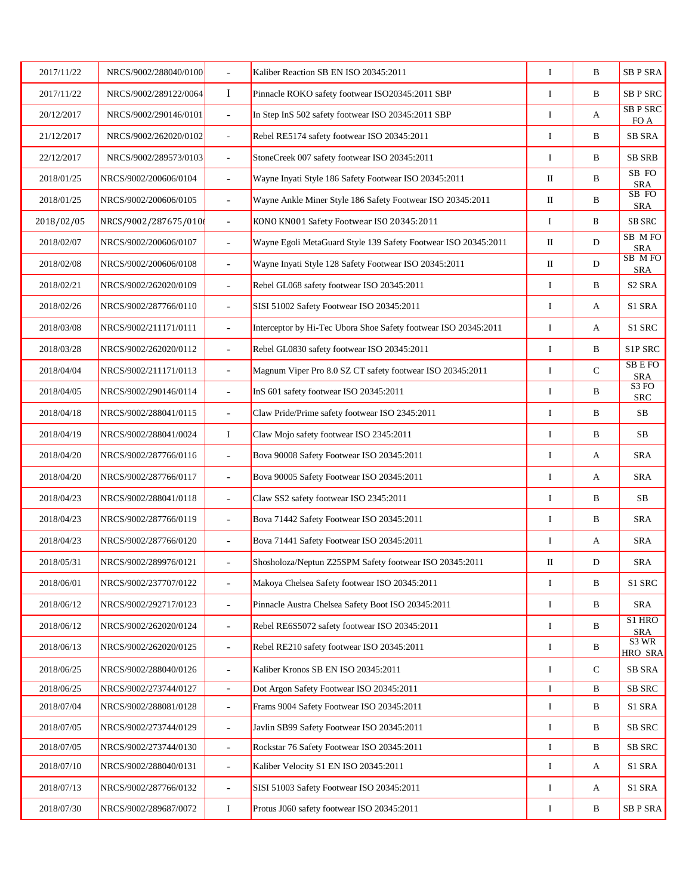| 2017/11/22 | NRCS/9002/288040/0100 | L.                       | Kaliber Reaction SB EN ISO 20345:2011                           | I        | B           | <b>SBP SRA</b>             |
|------------|-----------------------|--------------------------|-----------------------------------------------------------------|----------|-------------|----------------------------|
| 2017/11/22 | NRCS/9002/289122/0064 | $\bf{I}$                 | Pinnacle ROKO safety footwear ISO20345:2011 SBP                 | I        | $\bf{B}$    | <b>SB P SRC</b>            |
| 20/12/2017 | NRCS/9002/290146/0101 | $\frac{1}{2}$            | In Step InS 502 safety footwear ISO 20345:2011 SBP              | I        | A           | <b>SB P SRC</b><br>FO A    |
| 21/12/2017 | NRCS/9002/262020/0102 | $\overline{\phantom{a}}$ | Rebel RE5174 safety footwear ISO 20345:2011                     | $\bf{I}$ | B           | <b>SB SRA</b>              |
| 22/12/2017 | NRCS/9002/289573/0103 | $\overline{\phantom{a}}$ | StoneCreek 007 safety footwear ISO 20345:2011                   | I        | B           | <b>SB SRB</b>              |
| 2018/01/25 | NRCS/9002/200606/0104 | $\overline{\phantom{a}}$ | Wayne Inyati Style 186 Safety Footwear ISO 20345:2011           | $\rm II$ | B           | SB FO<br><b>SRA</b>        |
| 2018/01/25 | NRCS/9002/200606/0105 | $\overline{\phantom{a}}$ | Wayne Ankle Miner Style 186 Safety Footwear ISO 20345:2011      | П        | B           | SB FO<br><b>SRA</b>        |
| 2018/02/05 | NRCS/9002/287675/010  | $\blacksquare$           | KONO KN001 Safety Footwear ISO 20345:2011                       | $\bf{I}$ | B           | SB SRC                     |
| 2018/02/07 | NRCS/9002/200606/0107 | $\overline{\phantom{a}}$ | Wayne Egoli MetaGuard Style 139 Safety Footwear ISO 20345:2011  | П        | D           | SB MFO<br><b>SRA</b>       |
| 2018/02/08 | NRCS/9002/200606/0108 | L.                       | Wayne Inyati Style 128 Safety Footwear ISO 20345:2011           | $\rm II$ | D           | SB MFO<br><b>SRA</b>       |
| 2018/02/21 | NRCS/9002/262020/0109 | $\overline{\phantom{a}}$ | Rebel GL068 safety footwear ISO 20345:2011                      | I        | B           | S <sub>2</sub> SRA         |
| 2018/02/26 | NRCS/9002/287766/0110 | $\overline{\phantom{a}}$ | SISI 51002 Safety Footwear ISO 20345:2011                       | I        | A           | S1 SRA                     |
| 2018/03/08 | NRCS/9002/211171/0111 | $\overline{\phantom{a}}$ | Interceptor by Hi-Tec Ubora Shoe Safety footwear ISO 20345:2011 | I        | А           | S1 SRC                     |
| 2018/03/28 | NRCS/9002/262020/0112 | $\overline{\phantom{a}}$ | Rebel GL0830 safety footwear ISO 20345:2011                     | I        | B           | <b>S1P SRC</b>             |
| 2018/04/04 | NRCS/9002/211171/0113 | $\overline{\phantom{a}}$ | Magnum Viper Pro 8.0 SZ CT safety footwear ISO 20345:2011       | I        | $\mathbf C$ | <b>SBEFO</b><br><b>SRA</b> |
| 2018/04/05 | NRCS/9002/290146/0114 | $\overline{\phantom{a}}$ | InS 601 safety footwear ISO 20345:2011                          | I        | B           | S3FO<br><b>SRC</b>         |
| 2018/04/18 | NRCS/9002/288041/0115 | $\overline{a}$           | Claw Pride/Prime safety footwear ISO 2345:2011                  | I        | B           | $\rm SB$                   |
| 2018/04/19 | NRCS/9002/288041/0024 | I                        | Claw Mojo safety footwear ISO 2345:2011                         | I        | B           | <b>SB</b>                  |
| 2018/04/20 | NRCS/9002/287766/0116 | $\overline{\phantom{a}}$ | Bova 90008 Safety Footwear ISO 20345:2011                       | $\bf I$  | A           | <b>SRA</b>                 |
| 2018/04/20 | NRCS/9002/287766/0117 | $\overline{\phantom{a}}$ | Bova 90005 Safety Footwear ISO 20345:2011                       | I        | А           | SRA                        |
| 2018/04/23 | NRCS/9002/288041/0118 | $\overline{\phantom{a}}$ | Claw SS2 safety footwear ISO 2345:2011                          | I        | B           | SB                         |
| 2018/04/23 | NRCS/9002/287766/0119 | $\overline{a}$           | Bova 71442 Safety Footwear ISO 20345:2011                       | I        | B           | <b>SRA</b>                 |
| 2018/04/23 | NRCS/9002/287766/0120 | $\overline{\phantom{a}}$ | Bova 71441 Safety Footwear ISO 20345:2011                       | I        | A           | <b>SRA</b>                 |
| 2018/05/31 | NRCS/9002/289976/0121 |                          | Shosholoza/Neptun Z25SPM Safety footwear ISO 20345:2011         | $\rm II$ | D           | <b>SRA</b>                 |
| 2018/06/01 | NRCS/9002/237707/0122 | $\overline{\phantom{a}}$ | Makoya Chelsea Safety footwear ISO 20345:2011                   | I        | B           | S1 SRC                     |
| 2018/06/12 | NRCS/9002/292717/0123 | $\blacksquare$           | Pinnacle Austra Chelsea Safety Boot ISO 20345:2011              | I        | B           | <b>SRA</b>                 |
| 2018/06/12 | NRCS/9002/262020/0124 | $\overline{\phantom{a}}$ | Rebel RE6S5072 safety footwear ISO 20345:2011                   | I        | B           | S1 HRO<br><b>SRA</b>       |
| 2018/06/13 | NRCS/9002/262020/0125 | $\overline{\phantom{a}}$ | Rebel RE210 safety footwear ISO 20345:2011                      | I        | B           | S3 WR<br><b>HRO SRA</b>    |
| 2018/06/25 | NRCS/9002/288040/0126 | $\overline{\phantom{a}}$ | Kaliber Kronos SB EN ISO 20345:2011                             | I        | ${\bf C}$   | <b>SB SRA</b>              |
| 2018/06/25 | NRCS/9002/273744/0127 | $\overline{\phantom{a}}$ | Dot Argon Safety Footwear ISO 20345:2011                        | I        | B           | SB SRC                     |
| 2018/07/04 | NRCS/9002/288081/0128 | $\blacksquare$           | Frams 9004 Safety Footwear ISO 20345:2011                       | I        | B           | S1 SRA                     |
| 2018/07/05 | NRCS/9002/273744/0129 | $\overline{\phantom{a}}$ | Javlin SB99 Safety Footwear ISO 20345:2011                      | I        | B           | SB SRC                     |
| 2018/07/05 | NRCS/9002/273744/0130 | $\overline{\phantom{a}}$ | Rockstar 76 Safety Footwear ISO 20345:2011                      | I        | B           | SB SRC                     |
| 2018/07/10 | NRCS/9002/288040/0131 | $\blacksquare$           | Kaliber Velocity S1 EN ISO 20345:2011                           | I        | A           | S1 SRA                     |
| 2018/07/13 | NRCS/9002/287766/0132 | $\blacksquare$           | SISI 51003 Safety Footwear ISO 20345:2011                       | I        | A           | S1 SRA                     |
| 2018/07/30 | NRCS/9002/289687/0072 | $\bf{I}$                 | Protus J060 safety footwear ISO 20345:2011                      | I        | B           | <b>SBP SRA</b>             |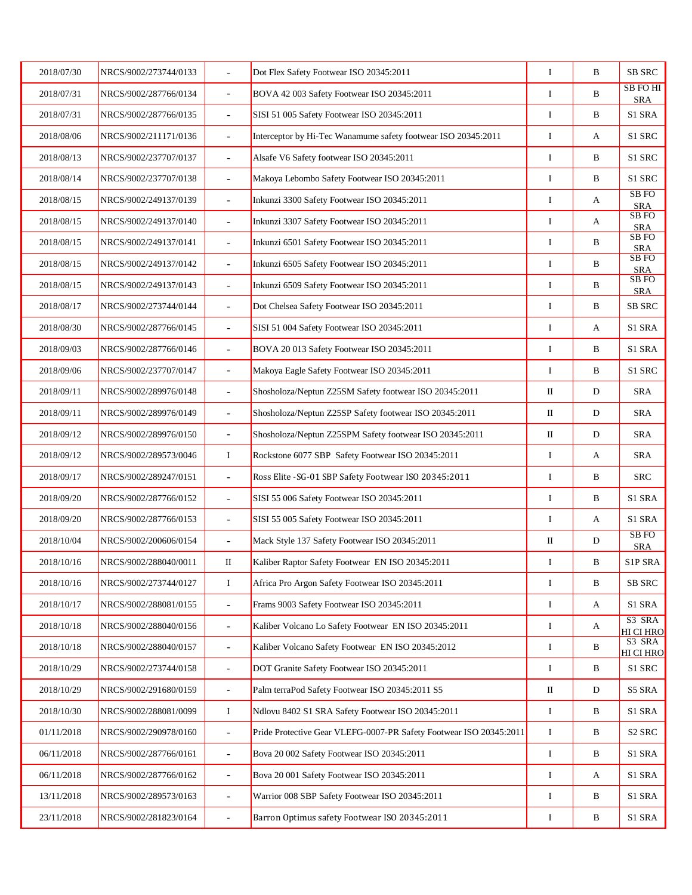| 2018/07/30 | NRCS/9002/273744/0133 |                          | Dot Flex Safety Footwear ISO 20345:2011                            | $\bf I$  | B | <b>SB SRC</b>                  |
|------------|-----------------------|--------------------------|--------------------------------------------------------------------|----------|---|--------------------------------|
| 2018/07/31 | NRCS/9002/287766/0134 | $\blacksquare$           | BOVA 42 003 Safety Footwear ISO 20345:2011                         | I        | B | SB FOHI<br><b>SRA</b>          |
| 2018/07/31 | NRCS/9002/287766/0135 | $\overline{\phantom{a}}$ | SISI 51 005 Safety Footwear ISO 20345:2011                         | I        | B | S1 SRA                         |
| 2018/08/06 | NRCS/9002/211171/0136 | $\overline{\phantom{a}}$ | Interceptor by Hi-Tec Wanamume safety footwear ISO 20345:2011      | I        | А | S1 SRC                         |
| 2018/08/13 | NRCS/9002/237707/0137 | $\blacksquare$           | Alsafe V6 Safety footwear ISO 20345:2011                           | I        | B | S1 SRC                         |
| 2018/08/14 | NRCS/9002/237707/0138 | $\blacksquare$           | Makoya Lebombo Safety Footwear ISO 20345:2011                      | I        | B | S1 SRC                         |
| 2018/08/15 | NRCS/9002/249137/0139 | $\overline{\phantom{a}}$ | Inkunzi 3300 Safety Footwear ISO 20345:2011                        | I        | A | SB <sub>FO</sub><br><b>SRA</b> |
| 2018/08/15 | NRCS/9002/249137/0140 | $\overline{a}$           | Inkunzi 3307 Safety Footwear ISO 20345:2011                        | I        | A | SB FO<br><b>SRA</b>            |
| 2018/08/15 | NRCS/9002/249137/0141 | $\overline{\phantom{a}}$ | Inkunzi 6501 Safety Footwear ISO 20345:2011                        | I        | B | SB FO<br><b>SRA</b>            |
| 2018/08/15 | NRCS/9002/249137/0142 | $\overline{\phantom{a}}$ | Inkunzi 6505 Safety Footwear ISO 20345:2011                        | I        | B | SB FO<br><b>SRA</b>            |
| 2018/08/15 | NRCS/9002/249137/0143 | $\overline{\phantom{a}}$ | Inkunzi 6509 Safety Footwear ISO 20345:2011                        | I        | B | SB <sub>FO</sub><br><b>SRA</b> |
| 2018/08/17 | NRCS/9002/273744/0144 | $\blacksquare$           | Dot Chelsea Safety Footwear ISO 20345:2011                         | I        | B | <b>SB SRC</b>                  |
| 2018/08/30 | NRCS/9002/287766/0145 | $\blacksquare$           | SISI 51 004 Safety Footwear ISO 20345:2011                         | I        | А | S1 SRA                         |
| 2018/09/03 | NRCS/9002/287766/0146 | $\overline{\phantom{a}}$ | BOVA 20 013 Safety Footwear ISO 20345:2011                         | I        | B | S1 SRA                         |
| 2018/09/06 | NRCS/9002/237707/0147 | $\overline{a}$           | Makoya Eagle Safety Footwear ISO 20345:2011                        | $\bf{I}$ | B | S1 SRC                         |
| 2018/09/11 | NRCS/9002/289976/0148 | $\blacksquare$           | Shosholoza/Neptun Z25SM Safety footwear ISO 20345:2011             | П        | D | SRA                            |
| 2018/09/11 | NRCS/9002/289976/0149 | $\overline{a}$           | Shosholoza/Neptun Z25SP Safety footwear ISO 20345:2011             | П        | D | <b>SRA</b>                     |
| 2018/09/12 | NRCS/9002/289976/0150 | $\overline{\phantom{a}}$ | Shosholoza/Neptun Z25SPM Safety footwear ISO 20345:2011            | $\rm II$ | D | <b>SRA</b>                     |
| 2018/09/12 | NRCS/9002/289573/0046 | I                        | Rockstone 6077 SBP Safety Footwear ISO 20345:2011                  | I        | A | <b>SRA</b>                     |
| 2018/09/17 | NRCS/9002/289247/0151 | $\blacksquare$           | Ross Elite - SG-01 SBP Safety Footwear ISO 20345:2011              | I        | B | SRC                            |
| 2018/09/20 | NRCS/9002/287766/0152 | $\overline{\phantom{a}}$ | SISI 55 006 Safety Footwear ISO 20345:2011                         | I        | B | S1 SRA                         |
| 2018/09/20 | NRCS/9002/287766/0153 | $\overline{a}$           | SISI 55 005 Safety Footwear ISO 20345:2011                         | $\bf{I}$ | A | S1 SRA                         |
| 2018/10/04 | NRCS/9002/200606/0154 | $\overline{\phantom{a}}$ | Mack Style 137 Safety Footwear ISO 20345:2011                      | $\rm II$ | D | SB <sub>FO</sub><br><b>SRA</b> |
| 2018/10/16 | NRCS/9002/288040/0011 | П                        | Kaliber Raptor Safety Footwear EN ISO 20345:2011                   | I        | B | S1P SRA                        |
| 2018/10/16 | NRCS/9002/273744/0127 | Ι.                       | Africa Pro Argon Safety Footwear ISO 20345:2011                    | I        | B | <b>SB SRC</b>                  |
| 2018/10/17 | NRCS/9002/288081/0155 | $\overline{\phantom{a}}$ | Frams 9003 Safety Footwear ISO 20345:2011                          | I        | A | S1 SRA                         |
| 2018/10/18 | NRCS/9002/288040/0156 | $\overline{\phantom{a}}$ | Kaliber Volcano Lo Safety Footwear EN ISO 20345:2011               | I        | А | S3 SRA<br>HI CI HRO            |
| 2018/10/18 | NRCS/9002/288040/0157 | $\overline{\phantom{a}}$ | Kaliber Volcano Safety Footwear EN ISO 20345:2012                  | I        | B | S3 SRA<br><b>HI CI HRO</b>     |
| 2018/10/29 | NRCS/9002/273744/0158 | $\Box$                   | DOT Granite Safety Footwear ISO 20345:2011                         | I        | B | S1 SRC                         |
| 2018/10/29 | NRCS/9002/291680/0159 | $\sim$                   | Palm terraPod Safety Footwear ISO 20345:2011 S5                    | $\rm II$ | D | S5 SRA                         |
| 2018/10/30 | NRCS/9002/288081/0099 | I                        | Ndlovu 8402 S1 SRA Safety Footwear ISO 20345:2011                  | I        | B | S1 SRA                         |
| 01/11/2018 | NRCS/9002/290978/0160 | $\blacksquare$           | Pride Protective Gear VLEFG-0007-PR Safety Footwear ISO 20345:2011 | I        | B | S <sub>2</sub> SRC             |
| 06/11/2018 | NRCS/9002/287766/0161 | $\overline{a}$           | Bova 20 002 Safety Footwear ISO 20345:2011                         | I        | B | S1 SRA                         |
| 06/11/2018 | NRCS/9002/287766/0162 | $\overline{\phantom{a}}$ | Bova 20 001 Safety Footwear ISO 20345:2011                         | I        | А | S1 SRA                         |
| 13/11/2018 | NRCS/9002/289573/0163 | $\overline{\phantom{a}}$ | Warrior 008 SBP Safety Footwear ISO 20345:2011                     | I        | B | S1 SRA                         |
| 23/11/2018 | NRCS/9002/281823/0164 | $\Box$                   | Barron Optimus safety Footwear ISO 20345:2011                      | I        | B | S1 SRA                         |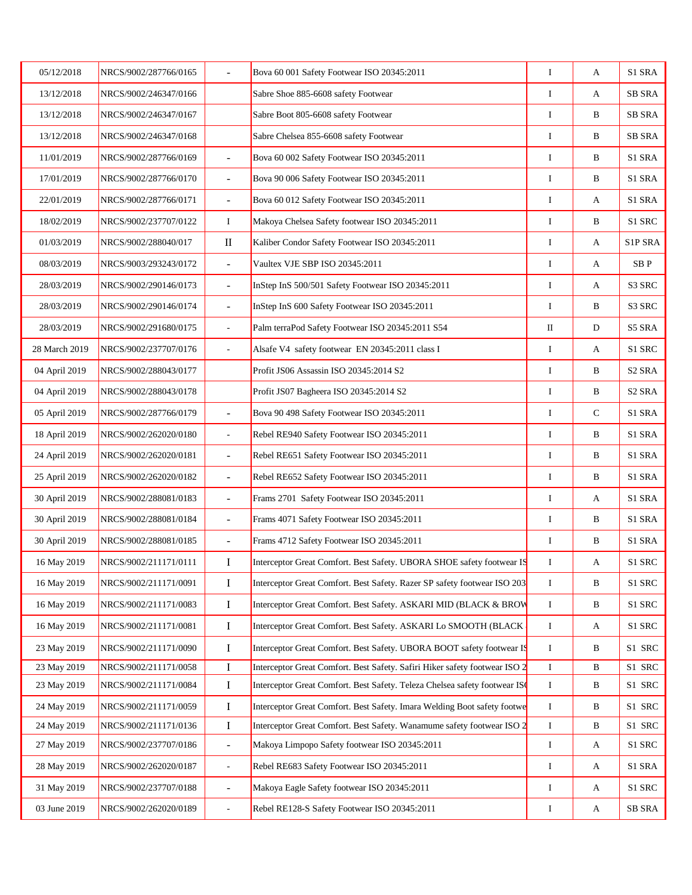| 05/12/2018    | NRCS/9002/287766/0165 | $\overline{\phantom{a}}$ | Bova 60 001 Safety Footwear ISO 20345:2011                                 | $\bf I$     | A         | S1 SRA                 |
|---------------|-----------------------|--------------------------|----------------------------------------------------------------------------|-------------|-----------|------------------------|
| 13/12/2018    | NRCS/9002/246347/0166 |                          | Sabre Shoe 885-6608 safety Footwear                                        | I           | A         | <b>SB SRA</b>          |
| 13/12/2018    | NRCS/9002/246347/0167 |                          | Sabre Boot 805-6608 safety Footwear                                        | $\bf{I}$    | B         | <b>SB SRA</b>          |
| 13/12/2018    | NRCS/9002/246347/0168 |                          | Sabre Chelsea 855-6608 safety Footwear                                     | $\bf{I}$    | B         | <b>SB SRA</b>          |
| 11/01/2019    | NRCS/9002/287766/0169 | $\overline{\phantom{a}}$ | Bova 60 002 Safety Footwear ISO 20345:2011                                 | $\bf I$     | B         | S1 SRA                 |
| 17/01/2019    | NRCS/9002/287766/0170 | $\blacksquare$           | Bova 90 006 Safety Footwear ISO 20345:2011                                 | I           | B         | S1 SRA                 |
| 22/01/2019    | NRCS/9002/287766/0171 | $\equiv$                 | Bova 60 012 Safety Footwear ISO 20345:2011                                 | $\bf{I}$    | A         | S1 SRA                 |
| 18/02/2019    | NRCS/9002/237707/0122 | $\bf{I}$                 | Makoya Chelsea Safety footwear ISO 20345:2011                              | $\bf{I}$    | B         | S1 SRC                 |
| 01/03/2019    | NRCS/9002/288040/017  | $\rm II$                 | Kaliber Condor Safety Footwear ISO 20345:2011                              | I           | A         | S1P SRA                |
| 08/03/2019    | NRCS/9003/293243/0172 | $\blacksquare$           | Vaultex VJE SBP ISO 20345:2011                                             | $\bf{I}$    | A         | SB <sub>P</sub>        |
| 28/03/2019    | NRCS/9002/290146/0173 | $\blacksquare$           | InStep InS 500/501 Safety Footwear ISO 20345:2011                          | $\bf{I}$    | A         | S3 SRC                 |
| 28/03/2019    | NRCS/9002/290146/0174 | $\blacksquare$           | InStep InS 600 Safety Footwear ISO 20345:2011                              | $\bf I$     | B         | S3 SRC                 |
| 28/03/2019    | NRCS/9002/291680/0175 | $\overline{\phantom{a}}$ | Palm terraPod Safety Footwear ISO 20345:2011 S54                           | $\rm II$    | ${\bf D}$ | S5 SRA                 |
| 28 March 2019 | NRCS/9002/237707/0176 | $\overline{\phantom{a}}$ | Alsafe V4 safety footwear EN 20345:2011 class I                            | $\bf{I}$    | A         | S1 SRC                 |
| 04 April 2019 | NRCS/9002/288043/0177 |                          | Profit JS06 Assassin ISO 20345:2014 S2                                     | $\bf I$     | B         | S <sub>2</sub> SRA     |
| 04 April 2019 | NRCS/9002/288043/0178 |                          | Profit JS07 Bagheera ISO 20345:2014 S2                                     | $\bf{I}$    | B         | S <sub>2</sub> SRA     |
| 05 April 2019 | NRCS/9002/287766/0179 | $\equiv$                 | Bova 90 498 Safety Footwear ISO 20345:2011                                 | $\bf{I}$    | ${\bf C}$ | S1 SRA                 |
| 18 April 2019 | NRCS/9002/262020/0180 | $\overline{\phantom{a}}$ | Rebel RE940 Safety Footwear ISO 20345:2011                                 | $\bf{I}$    | B         | S1 SRA                 |
| 24 April 2019 | NRCS/9002/262020/0181 | $\blacksquare$           | Rebel RE651 Safety Footwear ISO 20345:2011                                 | $\bf I$     | B         | S1 SRA                 |
| 25 April 2019 | NRCS/9002/262020/0182 | $\overline{\phantom{a}}$ | Rebel RE652 Safety Footwear ISO 20345:2011                                 | I           | B         | S1 SRA                 |
| 30 April 2019 | NRCS/9002/288081/0183 | $\blacksquare$           | Frams 2701 Safety Footwear ISO 20345:2011                                  | $\bf{I}$    | A         | S1 SRA                 |
| 30 April 2019 | NRCS/9002/288081/0184 | $\overline{a}$           | Frams 4071 Safety Footwear ISO 20345:2011                                  | $\bf I$     | B         | S1 SRA                 |
| 30 April 2019 | NRCS/9002/288081/0185 | $\blacksquare$           | Frams 4712 Safety Footwear ISO 20345:2011                                  | $\bf{I}$    | B         | S1 SRA                 |
| 16 May 2019   | NRCS/9002/211171/0111 | Ι                        | Interceptor Great Comfort. Best Safety. UBORA SHOE safety footwear IS      | I           | A         | S1 SRC                 |
| 16 May 2019   | NRCS/9002/211171/0091 | I                        | Interceptor Great Comfort. Best Safety. Razer SP safety footwear ISO 203   | I           | B         | S1 SRC                 |
| 16 May 2019   | NRCS/9002/211171/0083 | $\bf I$                  | Interceptor Great Comfort. Best Safety. ASKARI MID (BLACK & BROW           | $\bf{I}$    | B         | S1 SRC                 |
| 16 May 2019   | NRCS/9002/211171/0081 | $\bf I$                  | Interceptor Great Comfort. Best Safety. ASKARI Lo SMOOTH (BLACK)           | I           | A         | S1 SRC                 |
| 23 May 2019   | NRCS/9002/211171/0090 | I                        | Interceptor Great Comfort. Best Safety. UBORA BOOT safety footwear IS      | $\bf{I}$    | B         | S1 SRC                 |
| 23 May 2019   | NRCS/9002/211171/0058 | $\bf I$                  | Interceptor Great Comfort. Best Safety. Safiri Hiker safety footwear ISO 2 | $\mathbf I$ | B         | S1 SRC                 |
| 23 May 2019   | NRCS/9002/211171/0084 | $\bf I$                  | Interceptor Great Comfort. Best Safety. Teleza Chelsea safety footwear IS  | $\bf{I}$    | B         | S1 SRC                 |
| 24 May 2019   | NRCS/9002/211171/0059 | $\bf I$                  | Interceptor Great Comfort. Best Safety. Imara Welding Boot safety footwe   | I           | B         | S1 SRC                 |
| 24 May 2019   | NRCS/9002/211171/0136 | $\bf I$                  | Interceptor Great Comfort. Best Safety. Wanamume safety footwear ISO 2     | I           | B         | S1 SRC                 |
| 27 May 2019   | NRCS/9002/237707/0186 | $\overline{\phantom{a}}$ | Makoya Limpopo Safety footwear ISO 20345:2011                              | $\bf{I}$    | A         | S1 SRC                 |
| 28 May 2019   | NRCS/9002/262020/0187 | $\overline{\phantom{a}}$ | Rebel RE683 Safety Footwear ISO 20345:2011                                 | I           | A         | S1 SRA                 |
| 31 May 2019   | NRCS/9002/237707/0188 | $\overline{\phantom{a}}$ | Makoya Eagle Safety footwear ISO 20345:2011                                | I           | A         | S1 SRC                 |
| 03 June 2019  | NRCS/9002/262020/0189 |                          | Rebel RE128-S Safety Footwear ISO 20345:2011                               | Ι           | A         | ${\rm SB}$ ${\rm SRA}$ |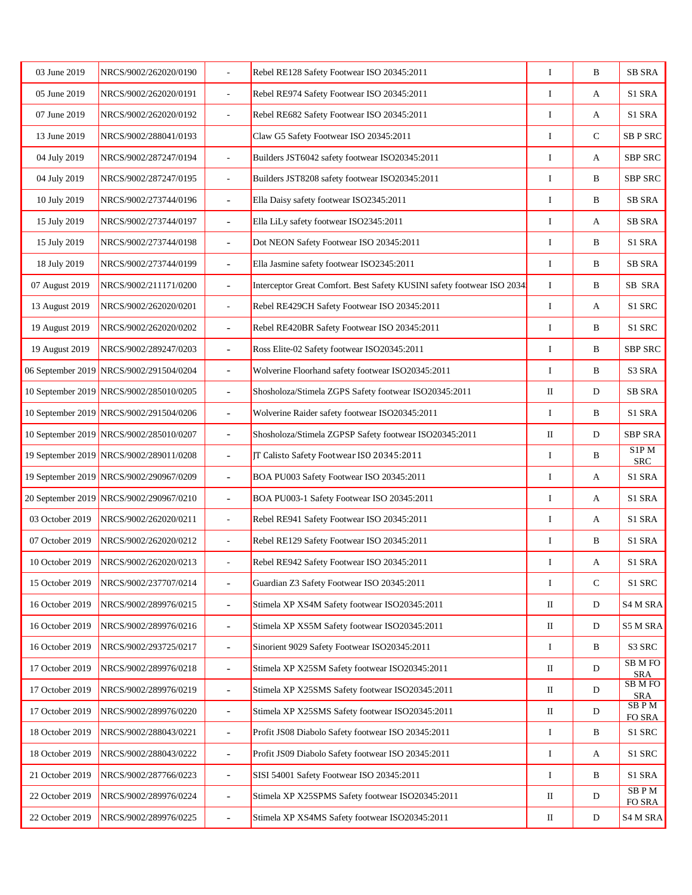| 03 June 2019      | NRCS/9002/262020/0190                   |                          | Rebel RE128 Safety Footwear ISO 20345:2011                              | I        | B            | <b>SB SRA</b>              |
|-------------------|-----------------------------------------|--------------------------|-------------------------------------------------------------------------|----------|--------------|----------------------------|
| 05 June 2019      | NRCS/9002/262020/0191                   | ÷.                       | Rebel RE974 Safety Footwear ISO 20345:2011                              | I        | A            | S1 SRA                     |
| 07 June 2019      | NRCS/9002/262020/0192                   | $\overline{a}$           | Rebel RE682 Safety Footwear ISO 20345:2011                              | I        | А            | S1 SRA                     |
| 13 June 2019      | NRCS/9002/288041/0193                   |                          | Claw G5 Safety Footwear ISO 20345:2011                                  | I        | $\mathbf C$  | <b>SB P SRC</b>            |
| 04 July 2019      | NRCS/9002/287247/0194                   | $\overline{\phantom{a}}$ | Builders JST6042 safety footwear ISO20345:2011                          | $\bf I$  | A            | SBP SRC                    |
| 04 July 2019      | NRCS/9002/287247/0195                   | $\sim$                   | Builders JST8208 safety footwear ISO20345:2011                          | I        | B            | SBP SRC                    |
| 10 July 2019      | NRCS/9002/273744/0196                   | $\overline{\phantom{a}}$ | Ella Daisy safety footwear ISO2345:2011                                 | I        | $\, {\bf B}$ | SB SRA                     |
| 15 July 2019      | NRCS/9002/273744/0197                   | $\overline{a}$           | Ella LiLy safety footwear ISO2345:2011                                  | I        | A            | <b>SB SRA</b>              |
| 15 July 2019      | NRCS/9002/273744/0198                   | $\blacksquare$           | Dot NEON Safety Footwear ISO 20345:2011                                 | I        | B            | S1 SRA                     |
| 18 July 2019      | NRCS/9002/273744/0199                   | $\overline{a}$           | Ella Jasmine safety footwear ISO2345:2011                               | I        | B            | <b>SB SRA</b>              |
| 07 August 2019    | NRCS/9002/211171/0200                   | $\overline{\phantom{a}}$ | Interceptor Great Comfort. Best Safety KUSINI safety footwear ISO 2034. | $\bf I$  | B            | SB SRA                     |
| 13 August 2019    | NRCS/9002/262020/0201                   | $\overline{\phantom{a}}$ | Rebel RE429CH Safety Footwear ISO 20345:2011                            | $\bf I$  | A            | S1 SRC                     |
| 19 August 2019    | NRCS/9002/262020/0202                   | $\overline{\phantom{a}}$ | Rebel RE420BR Safety Footwear ISO 20345:2011                            | I        | B            | S1 SRC                     |
| 19 August 2019    | NRCS/9002/289247/0203                   | $\overline{\phantom{a}}$ | Ross Elite-02 Safety footwear ISO20345:2011                             | I        | $\, {\bf B}$ | SBP SRC                    |
| 06 September 2019 | NRCS/9002/291504/0204                   | $\overline{a}$           | Wolverine Floorhand safety footwear ISO20345:2011                       | $\bf{I}$ | B            | S <sub>3</sub> SRA         |
|                   | 10 September 2019 NRCS/9002/285010/0205 | $\blacksquare$           | Shosholoza/Stimela ZGPS Safety footwear ISO20345:2011                   | П        | $\mathbf D$  | SB SRA                     |
|                   | 10 September 2019 NRCS/9002/291504/0206 | $\overline{a}$           | Wolverine Raider safety footwear ISO20345:2011                          | I        | B            | S1 SRA                     |
|                   | 10 September 2019 NRCS/9002/285010/0207 | $\blacksquare$           | Shosholoza/Stimela ZGPSP Safety footwear ISO20345:2011                  | $\rm II$ | D            | <b>SBP SRA</b>             |
|                   | 19 September 2019 NRCS/9002/289011/0208 | $\blacksquare$           | JT Calisto Safety Footwear ISO 20345:2011                               | $\bf I$  | B            | S1P M<br><b>SRC</b>        |
|                   | 19 September 2019 NRCS/9002/290967/0209 | $\overline{\phantom{a}}$ | BOA PU003 Safety Footwear ISO 20345:2011                                | I        | А            | S1 SRA                     |
|                   | 20 September 2019 NRCS/9002/290967/0210 | $\overline{\phantom{a}}$ | BOA PU003-1 Safety Footwear ISO 20345:2011                              | I        | A            | S1 SRA                     |
| 03 October 2019   | NRCS/9002/262020/0211                   | $\sim$                   | Rebel RE941 Safety Footwear ISO 20345:2011                              | I        | A            | S1 SRA                     |
| 07 October 2019   | NRCS/9002/262020/0212                   | $\sim$                   | Rebel RE129 Safety Footwear ISO 20345:2011                              | I        | $\bf{B}$     | S1 SRA                     |
| 10 October 2019   | NRCS/9002/262020/0213                   | $\overline{a}$           | Rebel RE942 Safety Footwear ISO 20345:2011                              | I        | A            | S1 SRA                     |
| 15 October 2019   | NRCS/9002/237707/0214                   | $\overline{a}$           | Guardian Z3 Safety Footwear ISO 20345:2011                              | Ι.       | $\mathbf C$  | S1 SRC                     |
| 16 October 2019   | NRCS/9002/289976/0215                   | $\overline{\phantom{a}}$ | Stimela XP XS4M Safety footwear ISO20345:2011                           | $\rm II$ | D            | S4 M SRA                   |
| 16 October 2019   | NRCS/9002/289976/0216                   | $\overline{\phantom{a}}$ | Stimela XP XS5M Safety footwear ISO20345:2011                           | $\rm II$ | $\mathbf D$  | <b>S5 M SRA</b>            |
| 16 October 2019   | NRCS/9002/293725/0217                   | $\overline{\phantom{a}}$ | Sinorient 9029 Safety Footwear ISO20345:2011                            | I        | B            | S3 SRC                     |
| 17 October 2019   | NRCS/9002/289976/0218                   | $\overline{\phantom{a}}$ | Stimela XP X25SM Safety footwear ISO20345:2011                          | $\rm II$ | D            | <b>SBMFO</b><br><b>SRA</b> |
| 17 October 2019   | NRCS/9002/289976/0219                   | $\blacksquare$           | Stimela XP X25SMS Safety footwear ISO20345:2011                         | $\rm II$ | D            | <b>SBMFO</b><br><b>SRA</b> |
| 17 October 2019   | NRCS/9002/289976/0220                   | $\overline{a}$           | Stimela XP X25SMS Safety footwear ISO20345:2011                         | $\rm II$ | D            | SBPM<br>FO SRA             |
| 18 October 2019   | NRCS/9002/288043/0221                   | $\overline{a}$           | Profit JS08 Diabolo Safety footwear ISO 20345:2011                      | I        | B            | S1 SRC                     |
| 18 October 2019   | NRCS/9002/288043/0222                   | $\overline{\phantom{a}}$ | Profit JS09 Diabolo Safety footwear ISO 20345:2011                      | I        | A            | S1 SRC                     |
| 21 October 2019   | NRCS/9002/287766/0223                   | $\overline{\phantom{a}}$ | SISI 54001 Safety Footwear ISO 20345:2011                               | I        | B            | S1 SRA                     |
| 22 October 2019   | NRCS/9002/289976/0224                   | $\overline{\phantom{a}}$ | Stimela XP X25SPMS Safety footwear ISO20345:2011                        | $\rm II$ | D            | <b>SBPM</b><br>FO SRA      |
| 22 October 2019   | NRCS/9002/289976/0225                   | $\blacksquare$           | Stimela XP XS4MS Safety footwear ISO20345:2011                          | $\rm II$ | $\mathbf D$  | S4 M SRA                   |
|                   |                                         |                          |                                                                         |          |              |                            |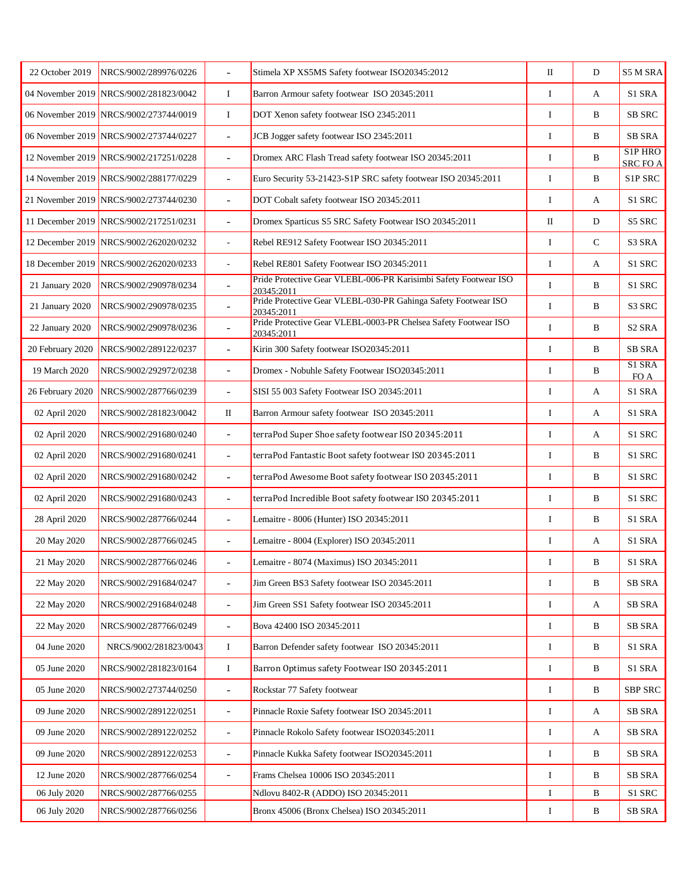| 22 October 2019  | NRCS/9002/289976/0226                  | $\frac{1}{2}$            | Stimela XP XS5MS Safety footwear ISO20345:2012                                 | $\rm II$ | D            | S5 M SRA                                    |
|------------------|----------------------------------------|--------------------------|--------------------------------------------------------------------------------|----------|--------------|---------------------------------------------|
|                  | 04 November 2019 NRCS/9002/281823/0042 | $\bf{I}$                 | Barron Armour safety footwear ISO 20345:2011                                   | I        | A            | S1 SRA                                      |
|                  | 06 November 2019 NRCS/9002/273744/0019 | $\bf{I}$                 | DOT Xenon safety footwear ISO 2345:2011                                        | $\bf{I}$ | B            | <b>SB SRC</b>                               |
|                  | 06 November 2019 NRCS/9002/273744/0227 | $\overline{\phantom{a}}$ | JCB Jogger safety footwear ISO 2345:2011                                       | I        | B            | <b>SB SRA</b>                               |
|                  | 12 November 2019 NRCS/9002/217251/0228 | $\overline{a}$           | Dromex ARC Flash Tread safety footwear ISO 20345:2011                          | $\bf{I}$ | B            | S <sub>1</sub> P <sub>HRO</sub><br>SRC FO A |
|                  | 14 November 2019 NRCS/9002/288177/0229 | $\overline{\phantom{a}}$ | Euro Security 53-21423-S1P SRC safety footwear ISO 20345:2011                  | $\bf{I}$ | B            | S1P SRC                                     |
|                  | 21 November 2019 NRCS/9002/273744/0230 | $\overline{a}$           | DOT Cobalt safety footwear ISO 20345:2011                                      | I        | A            | S1 SRC                                      |
|                  | 11 December 2019 NRCS/9002/217251/0231 | $\overline{\phantom{a}}$ | Dromex Sparticus S5 SRC Safety Footwear ISO 20345:2011                         | $\rm II$ | D            | S5 SRC                                      |
|                  | 12 December 2019 NRCS/9002/262020/0232 |                          | Rebel RE912 Safety Footwear ISO 20345:2011                                     | I        | $\mathbf C$  | S3 SRA                                      |
|                  | 18 December 2019 NRCS/9002/262020/0233 | ÷.                       | Rebel RE801 Safety Footwear ISO 20345:2011                                     | I        | A            | S1 SRC                                      |
| 21 January 2020  | NRCS/9002/290978/0234                  | $\overline{\phantom{a}}$ | Pride Protective Gear VLEBL-006-PR Karisimbi Safety Footwear ISO<br>20345:2011 | I        | B            | S1 SRC                                      |
| 21 January 2020  | NRCS/9002/290978/0235                  | $\overline{a}$           | Pride Protective Gear VLEBL-030-PR Gahinga Safety Footwear ISO<br>20345:2011   | I        | B            | S3 SRC                                      |
| 22 January 2020  | NRCS/9002/290978/0236                  | $\overline{\phantom{a}}$ | Pride Protective Gear VLEBL-0003-PR Chelsea Safety Footwear ISO<br>20345:2011  | I        | B            | S <sub>2</sub> SRA                          |
| 20 February 2020 | NRCS/9002/289122/0237                  | $\overline{\phantom{a}}$ | Kirin 300 Safety footwear ISO20345:2011                                        | I        | B            | <b>SB SRA</b>                               |
| 19 March 2020    | NRCS/9002/292972/0238                  | $\overline{\phantom{a}}$ | Dromex - Nobuhle Safety Footwear ISO20345:2011                                 | I        | B            | S1 SRA<br>FO A                              |
| 26 February 2020 | NRCS/9002/287766/0239                  | $\overline{a}$           | SISI 55 003 Safety Footwear ISO 20345:2011                                     | I        | A            | S1 SRA                                      |
| 02 April 2020    | NRCS/9002/281823/0042                  | П                        | Barron Armour safety footwear ISO 20345:2011                                   | I        | A            | S1 SRA                                      |
| 02 April 2020    | NRCS/9002/291680/0240                  | $\overline{\phantom{a}}$ | terraPod Super Shoe safety footwear ISO 20345:2011                             | I        | A            | S1 SRC                                      |
| 02 April 2020    | NRCS/9002/291680/0241                  | $\overline{a}$           | terraPod Fantastic Boot safety footwear ISO 20345:2011                         | $\bf I$  | B            | S1 SRC                                      |
| 02 April 2020    | NRCS/9002/291680/0242                  | $\overline{\phantom{a}}$ | terraPod Awesome Boot safety footwear ISO 20345:2011                           | I        | B            | S1 SRC                                      |
| 02 April 2020    | NRCS/9002/291680/0243                  | $\overline{\phantom{a}}$ | terraPod Incredible Boot safety footwear ISO 20345:2011                        | I        | B            | S1 SRC                                      |
| 28 April 2020    | NRCS/9002/287766/0244                  | $\overline{\phantom{a}}$ | Lemaitre - 8006 (Hunter) ISO 20345:2011                                        | I        | B            | S1 SRA                                      |
| 20 May 2020      | NRCS/9002/287766/0245                  | $\overline{a}$           | Lemaitre - 8004 (Explorer) ISO 20345:2011                                      | I        | A            | S1 SRA                                      |
| 21 May 2020      | NRCS/9002/287766/0246                  | $\overline{\phantom{a}}$ | Lemaitre - 8074 (Maximus) ISO 20345:2011                                       | I        | B            | S1 SRA                                      |
| 22 May 2020      | NRCS/9002/291684/0247                  | $\overline{a}$           | Jim Green BS3 Safety footwear ISO 20345:2011                                   | $\bf{I}$ | B            | <b>SB SRA</b>                               |
| 22 May 2020      | NRCS/9002/291684/0248                  | $\blacksquare$           | Jim Green SS1 Safety footwear ISO 20345:2011                                   | I        | A            | <b>SB SRA</b>                               |
| 22 May 2020      | NRCS/9002/287766/0249                  | $\overline{\phantom{a}}$ | Bova 42400 ISO 20345:2011                                                      | I        | B            | SB SRA                                      |
| 04 June 2020     | NRCS/9002/281823/0043                  | I                        | Barron Defender safety footwear ISO 20345:2011                                 | I        | B            | S1 SRA                                      |
| 05 June 2020     | NRCS/9002/281823/0164                  | $\bf{I}$                 | Barron Optimus safety Footwear ISO 20345:2011                                  | I        | $\, {\bf B}$ | S1 SRA                                      |
| 05 June 2020     | NRCS/9002/273744/0250                  | $\blacksquare$           | Rockstar 77 Safety footwear                                                    | $\bf{I}$ | B            | SBP SRC                                     |
| 09 June 2020     | NRCS/9002/289122/0251                  | $\overline{\phantom{a}}$ | Pinnacle Roxie Safety footwear ISO 20345:2011                                  | I        | A            | <b>SB SRA</b>                               |
| 09 June 2020     | NRCS/9002/289122/0252                  | $\overline{\phantom{a}}$ | Pinnacle Rokolo Safety footwear ISO20345:2011                                  | I        | A            | <b>SB SRA</b>                               |
| 09 June 2020     | NRCS/9002/289122/0253                  | $\overline{\phantom{a}}$ | Pinnacle Kukka Safety footwear ISO20345:2011                                   | I        | B            | <b>SB SRA</b>                               |
| 12 June 2020     | NRCS/9002/287766/0254                  | $\blacksquare$           | Frams Chelsea 10006 ISO 20345:2011                                             | I        | B            | SB SRA                                      |
| 06 July 2020     | NRCS/9002/287766/0255                  |                          | Ndlovu 8402-R (ADDO) ISO 20345:2011                                            | I        | $\, {\bf B}$ | S1 SRC                                      |
| 06 July 2020     | NRCS/9002/287766/0256                  |                          | Bronx 45006 (Bronx Chelsea) ISO 20345:2011                                     | I        | B            | SB SRA                                      |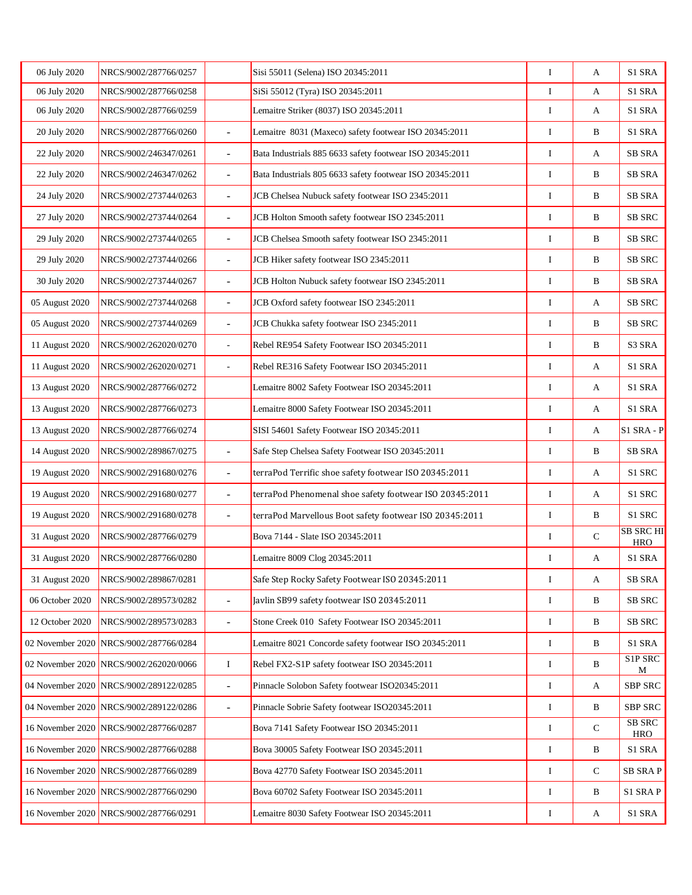| 06 July 2020    | NRCS/9002/287766/0257                  |                          | Sisi 55011 (Selena) ISO 20345:2011                       | $\bf{I}$ | А            | S1 SRA                               |
|-----------------|----------------------------------------|--------------------------|----------------------------------------------------------|----------|--------------|--------------------------------------|
| 06 July 2020    | NRCS/9002/287766/0258                  |                          | SiSi 55012 (Tyra) ISO 20345:2011                         | I        | A            | S1 SRA                               |
| 06 July 2020    | NRCS/9002/287766/0259                  |                          | Lemaitre Striker (8037) ISO 20345:2011                   | I        | А            | S1 SRA                               |
| 20 July 2020    | NRCS/9002/287766/0260                  | L.                       | Lemaitre 8031 (Maxeco) safety footwear ISO 20345:2011    | I        | B            | S1 SRA                               |
| 22 July 2020    | NRCS/9002/246347/0261                  | L,                       | Bata Industrials 885 6633 safety footwear ISO 20345:2011 | I        | A            | <b>SB SRA</b>                        |
| 22 July 2020    | NRCS/9002/246347/0262                  | $\blacksquare$           | Bata Industrials 805 6633 safety footwear ISO 20345:2011 | I        | B            | <b>SB SRA</b>                        |
| 24 July 2020    | NRCS/9002/273744/0263                  | $\overline{a}$           | JCB Chelsea Nubuck safety footwear ISO 2345:2011         | I        | B            | SB SRA                               |
| 27 July 2020    | NRCS/9002/273744/0264                  | $\overline{\phantom{a}}$ | JCB Holton Smooth safety footwear ISO 2345:2011          | I        | B            | <b>SB SRC</b>                        |
| 29 July 2020    | NRCS/9002/273744/0265                  | $\overline{\phantom{a}}$ | JCB Chelsea Smooth safety footwear ISO 2345:2011         | I        | B            | <b>SB SRC</b>                        |
| 29 July 2020    | NRCS/9002/273744/0266                  | $\overline{\phantom{a}}$ | JCB Hiker safety footwear ISO 2345:2011                  | I        | B            | <b>SB SRC</b>                        |
| 30 July 2020    | NRCS/9002/273744/0267                  | $\overline{\phantom{a}}$ | JCB Holton Nubuck safety footwear ISO 2345:2011          | I        | B            | SB SRA                               |
| 05 August 2020  | NRCS/9002/273744/0268                  | $\overline{a}$           | JCB Oxford safety footwear ISO 2345:2011                 | I        | А            | <b>SB SRC</b>                        |
| 05 August 2020  | NRCS/9002/273744/0269                  | L.                       | JCB Chukka safety footwear ISO 2345:2011                 | $\bf{I}$ | B            | SB SRC                               |
| 11 August 2020  | NRCS/9002/262020/0270                  | ä,                       | Rebel RE954 Safety Footwear ISO 20345:2011               | I        | $\, {\bf B}$ | S3 SRA                               |
| 11 August 2020  | NRCS/9002/262020/0271                  |                          | Rebel RE316 Safety Footwear ISO 20345:2011               | I        | А            | S1 SRA                               |
| 13 August 2020  | NRCS/9002/287766/0272                  |                          | Lemaitre 8002 Safety Footwear ISO 20345:2011             | I        | A            | S1 SRA                               |
| 13 August 2020  | NRCS/9002/287766/0273                  |                          | Lemaitre 8000 Safety Footwear ISO 20345:2011             | I        | А            | S1 SRA                               |
| 13 August 2020  | NRCS/9002/287766/0274                  |                          | SISI 54601 Safety Footwear ISO 20345:2011                | I        | A            | $S1$ SRA - P                         |
| 14 August 2020  | NRCS/9002/289867/0275                  | $\overline{\phantom{a}}$ | Safe Step Chelsea Safety Footwear ISO 20345:2011         | I        | B            | <b>SB SRA</b>                        |
| 19 August 2020  | NRCS/9002/291680/0276                  | $\overline{a}$           | terraPod Terrific shoe safety footwear ISO 20345:2011    | I        | A            | S1 SRC                               |
| 19 August 2020  | NRCS/9002/291680/0277                  | ÷,                       | terraPod Phenomenal shoe safety footwear ISO 20345:2011  | I        | А            | S1 SRC                               |
| 19 August 2020  | NRCS/9002/291680/0278                  | $\overline{a}$           | terraPod Marvellous Boot safety footwear ISO 20345:2011  | I        | B            | S1 SRC                               |
| 31 August 2020  | NRCS/9002/287766/0279                  |                          | Bova 7144 - Slate ISO 20345:2011                         | I        | $\mathbf C$  | <b>SB SRC HI</b><br><b>HRO</b>       |
| 31 August 2020  | NRCS/9002/287766/0280                  |                          | Lemaitre 8009 Clog 20345:2011                            | I        | А            | S1 SRA                               |
| 31 August 2020  | NRCS/9002/289867/0281                  |                          | Safe Step Rocky Safety Footwear ISO 20345:2011           | $\bf{I}$ | А            | SB SRA                               |
| 06 October 2020 | NRCS/9002/289573/0282                  | $\overline{\phantom{a}}$ | Javlin SB99 safety footwear ISO 20345:2011               | I        | B            | <b>SB SRC</b>                        |
| 12 October 2020 | NRCS/9002/289573/0283                  | $\overline{\phantom{a}}$ | Stone Creek 010 Safety Footwear ISO 20345:2011           | I        | B            | SB SRC                               |
|                 | 02 November 2020 NRCS/9002/287766/0284 |                          | Lemaitre 8021 Concorde safety footwear ISO 20345:2011    | I        | B            | S1 SRA                               |
|                 | 02 November 2020 NRCS/9002/262020/0066 | $\bf{I}$                 | Rebel FX2-S1P safety footwear ISO 20345:2011             | I        | B            | S <sub>1</sub> P <sub>SRC</sub><br>M |
|                 | 04 November 2020 NRCS/9002/289122/0285 | $\blacksquare$           | Pinnacle Solobon Safety footwear ISO20345:2011           | I        | A            | SBP SRC                              |
|                 | 04 November 2020 NRCS/9002/289122/0286 | $\overline{\phantom{a}}$ | Pinnacle Sobrie Safety footwear ISO20345:2011            | I        | B            | SBP SRC                              |
|                 | 16 November 2020 NRCS/9002/287766/0287 |                          | Bova 7141 Safety Footwear ISO 20345:2011                 | I        | $\mathbf C$  | <b>SB SRC</b><br><b>HRO</b>          |
|                 | 16 November 2020 NRCS/9002/287766/0288 |                          | Bova 30005 Safety Footwear ISO 20345:2011                | I        | B            | S1 SRA                               |
|                 | 16 November 2020 NRCS/9002/287766/0289 |                          | Bova 42770 Safety Footwear ISO 20345:2011                | $\bf{I}$ | $\mathbf C$  | <b>SB SRAP</b>                       |
|                 | 16 November 2020 NRCS/9002/287766/0290 |                          | Bova 60702 Safety Footwear ISO 20345:2011                | I        | B            | S1 SRAP                              |
|                 | 16 November 2020 NRCS/9002/287766/0291 |                          | Lemaitre 8030 Safety Footwear ISO 20345:2011             | I        | А            | S1 SRA                               |